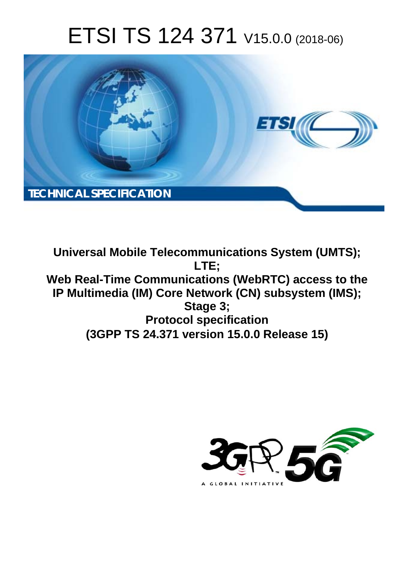# ETSI TS 124 371 V15.0.0 (2018-06)



**Universal Mobile Telecommunications System (UMTS); LTE; Web Real-Time Communications (WebRTC) access to the IP Multimedia (IM) Core Network (CN) subsystem (IMS); Stage 3; Protocol specification (3GPP TS 24.371 version 15.0.0 Release 15)** 

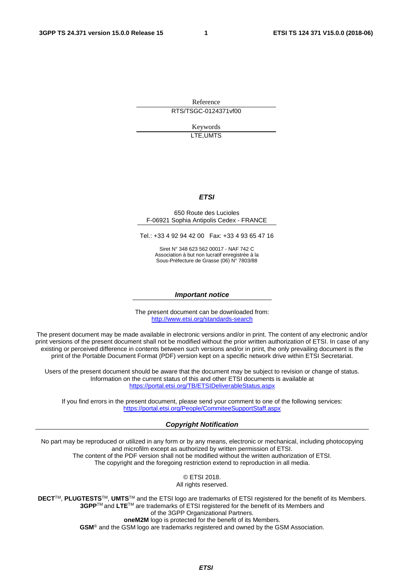Reference RTS/TSGC-0124371vf00

> Keywords LTE,UMTS

#### *ETSI*

#### 650 Route des Lucioles F-06921 Sophia Antipolis Cedex - FRANCE

Tel.: +33 4 92 94 42 00 Fax: +33 4 93 65 47 16

Siret N° 348 623 562 00017 - NAF 742 C Association à but non lucratif enregistrée à la Sous-Préfecture de Grasse (06) N° 7803/88

#### *Important notice*

The present document can be downloaded from: <http://www.etsi.org/standards-search>

The present document may be made available in electronic versions and/or in print. The content of any electronic and/or print versions of the present document shall not be modified without the prior written authorization of ETSI. In case of any existing or perceived difference in contents between such versions and/or in print, the only prevailing document is the print of the Portable Document Format (PDF) version kept on a specific network drive within ETSI Secretariat.

Users of the present document should be aware that the document may be subject to revision or change of status. Information on the current status of this and other ETSI documents is available at <https://portal.etsi.org/TB/ETSIDeliverableStatus.aspx>

If you find errors in the present document, please send your comment to one of the following services: <https://portal.etsi.org/People/CommiteeSupportStaff.aspx>

#### *Copyright Notification*

No part may be reproduced or utilized in any form or by any means, electronic or mechanical, including photocopying and microfilm except as authorized by written permission of ETSI. The content of the PDF version shall not be modified without the written authorization of ETSI. The copyright and the foregoing restriction extend to reproduction in all media.

> © ETSI 2018. All rights reserved.

**DECT**TM, **PLUGTESTS**TM, **UMTS**TM and the ETSI logo are trademarks of ETSI registered for the benefit of its Members. **3GPP**TM and **LTE**TM are trademarks of ETSI registered for the benefit of its Members and of the 3GPP Organizational Partners. **oneM2M** logo is protected for the benefit of its Members.

**GSM**® and the GSM logo are trademarks registered and owned by the GSM Association.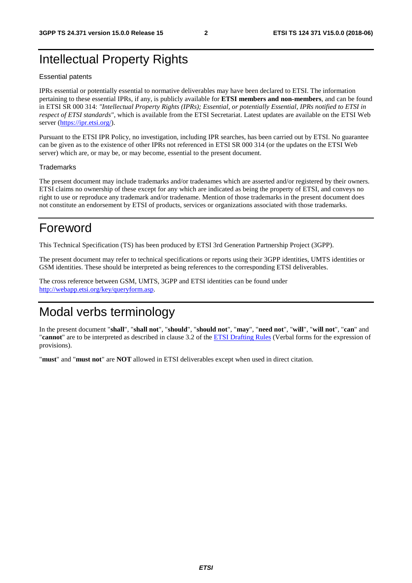## Intellectual Property Rights

#### Essential patents

IPRs essential or potentially essential to normative deliverables may have been declared to ETSI. The information pertaining to these essential IPRs, if any, is publicly available for **ETSI members and non-members**, and can be found in ETSI SR 000 314: *"Intellectual Property Rights (IPRs); Essential, or potentially Essential, IPRs notified to ETSI in respect of ETSI standards"*, which is available from the ETSI Secretariat. Latest updates are available on the ETSI Web server ([https://ipr.etsi.org/\)](https://ipr.etsi.org/).

Pursuant to the ETSI IPR Policy, no investigation, including IPR searches, has been carried out by ETSI. No guarantee can be given as to the existence of other IPRs not referenced in ETSI SR 000 314 (or the updates on the ETSI Web server) which are, or may be, or may become, essential to the present document.

#### **Trademarks**

The present document may include trademarks and/or tradenames which are asserted and/or registered by their owners. ETSI claims no ownership of these except for any which are indicated as being the property of ETSI, and conveys no right to use or reproduce any trademark and/or tradename. Mention of those trademarks in the present document does not constitute an endorsement by ETSI of products, services or organizations associated with those trademarks.

## Foreword

This Technical Specification (TS) has been produced by ETSI 3rd Generation Partnership Project (3GPP).

The present document may refer to technical specifications or reports using their 3GPP identities, UMTS identities or GSM identities. These should be interpreted as being references to the corresponding ETSI deliverables.

The cross reference between GSM, UMTS, 3GPP and ETSI identities can be found under [http://webapp.etsi.org/key/queryform.asp.](http://webapp.etsi.org/key/queryform.asp)

## Modal verbs terminology

In the present document "**shall**", "**shall not**", "**should**", "**should not**", "**may**", "**need not**", "**will**", "**will not**", "**can**" and "**cannot**" are to be interpreted as described in clause 3.2 of the [ETSI Drafting Rules](https://portal.etsi.org/Services/editHelp!/Howtostart/ETSIDraftingRules.aspx) (Verbal forms for the expression of provisions).

"**must**" and "**must not**" are **NOT** allowed in ETSI deliverables except when used in direct citation.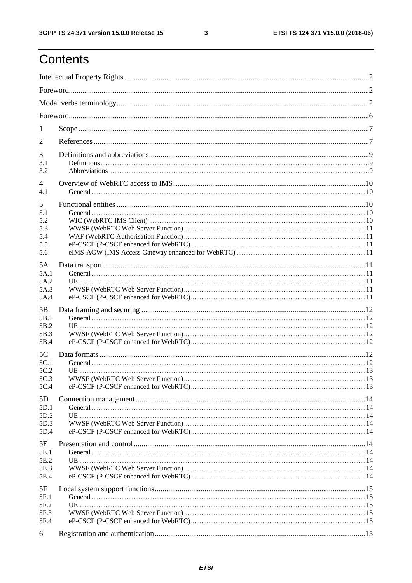## Contents

| 1                                           |  |  |  |  |  |  |  |  |
|---------------------------------------------|--|--|--|--|--|--|--|--|
| 2                                           |  |  |  |  |  |  |  |  |
| 3<br>3.1<br>3.2                             |  |  |  |  |  |  |  |  |
| $\overline{4}$<br>4.1                       |  |  |  |  |  |  |  |  |
| 5<br>5.1<br>5.2<br>5.3<br>5.4<br>5.5<br>5.6 |  |  |  |  |  |  |  |  |
| 5A<br>5A.1<br>5A.2<br>5A.3<br>5A.4          |  |  |  |  |  |  |  |  |
| 5B<br>5B.1<br>5B.2<br>5B.3<br>5B.4          |  |  |  |  |  |  |  |  |
| 5C<br>5C.1<br>5C.2<br>5C.3<br>5C.4          |  |  |  |  |  |  |  |  |
| 5D<br>5D.1<br>5D.2<br>5D.3<br>5D.4          |  |  |  |  |  |  |  |  |
| 5E<br>5E.1<br>5E.2<br>5E.3<br>5E.4          |  |  |  |  |  |  |  |  |
| 5F<br>5F.1<br>5F.2<br>5F.3<br>5F.4          |  |  |  |  |  |  |  |  |
| 6                                           |  |  |  |  |  |  |  |  |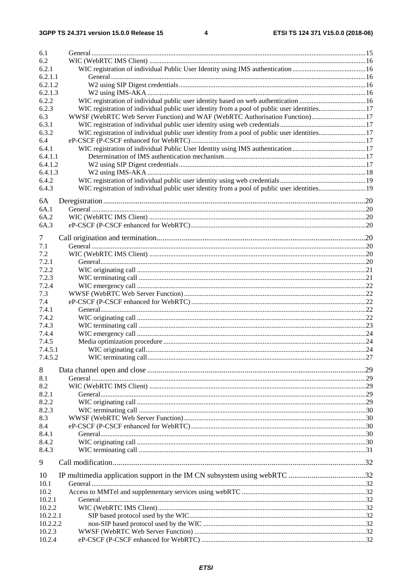| 6.1      |                                                                                             |  |
|----------|---------------------------------------------------------------------------------------------|--|
| 6.2      |                                                                                             |  |
| 6.2.1    |                                                                                             |  |
| 6.2.1.1  |                                                                                             |  |
| 6.2.1.2  |                                                                                             |  |
|          |                                                                                             |  |
| 6.2.1.3  |                                                                                             |  |
| 6.2.2    |                                                                                             |  |
| 6.2.3    |                                                                                             |  |
| 6.3      | WWSF (WebRTC Web Server Function) and WAF (WebRTC Authorisation Function)17                 |  |
| 6.3.1    |                                                                                             |  |
| 6.3.2    | WIC registration of individual public user identity from a pool of public user identities17 |  |
| 6.4      |                                                                                             |  |
| 6.4.1    |                                                                                             |  |
|          |                                                                                             |  |
| 6.4.1.1  |                                                                                             |  |
| 6.4.1.2  |                                                                                             |  |
| 6.4.1.3  |                                                                                             |  |
| 6.4.2    |                                                                                             |  |
| 6.4.3    |                                                                                             |  |
|          |                                                                                             |  |
| 6A       |                                                                                             |  |
| 6A.1     |                                                                                             |  |
| 6A.2     |                                                                                             |  |
| 6A.3     |                                                                                             |  |
|          |                                                                                             |  |
| 7        |                                                                                             |  |
| 7.1      |                                                                                             |  |
| 7.2      |                                                                                             |  |
| 7.2.1    |                                                                                             |  |
|          |                                                                                             |  |
| 7.2.2    |                                                                                             |  |
| 7.2.3    |                                                                                             |  |
| 7.2.4    |                                                                                             |  |
| 7.3      |                                                                                             |  |
| 7.4      |                                                                                             |  |
| 7.4.1    |                                                                                             |  |
| 7.4.2    |                                                                                             |  |
| 7.4.3    |                                                                                             |  |
|          |                                                                                             |  |
| 7.4.4    |                                                                                             |  |
| 7.4.5    |                                                                                             |  |
| 7.4.5.1  |                                                                                             |  |
| 7.4.5.2  |                                                                                             |  |
|          |                                                                                             |  |
| 8        |                                                                                             |  |
| 8.1      |                                                                                             |  |
| 8.2      |                                                                                             |  |
| 8.2.1    |                                                                                             |  |
| 8.2.2    |                                                                                             |  |
|          |                                                                                             |  |
|          |                                                                                             |  |
| 8.2.3    |                                                                                             |  |
| 8.3      |                                                                                             |  |
| 8.4      |                                                                                             |  |
| 8.4.1    |                                                                                             |  |
| 8.4.2    |                                                                                             |  |
| 8.4.3    |                                                                                             |  |
|          |                                                                                             |  |
| 9        |                                                                                             |  |
|          |                                                                                             |  |
| 10       |                                                                                             |  |
| 10.1     |                                                                                             |  |
| 10.2     |                                                                                             |  |
| 10.2.1   |                                                                                             |  |
| 10.2.2   |                                                                                             |  |
| 10.2.2.1 |                                                                                             |  |
| 10.2.2.2 |                                                                                             |  |
| 10.2.3   |                                                                                             |  |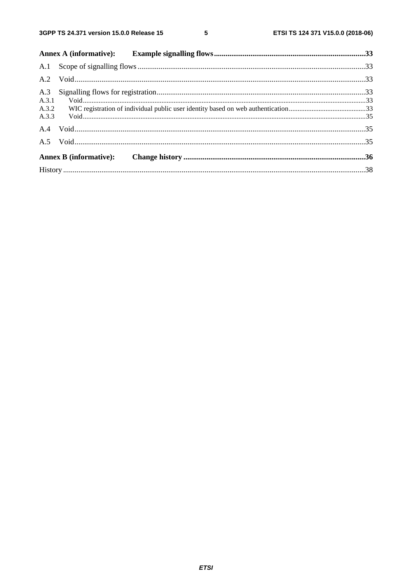$5\phantom{a}$ 

| A.3.1 |  |
|-------|--|
|       |  |
|       |  |
|       |  |
|       |  |
|       |  |
|       |  |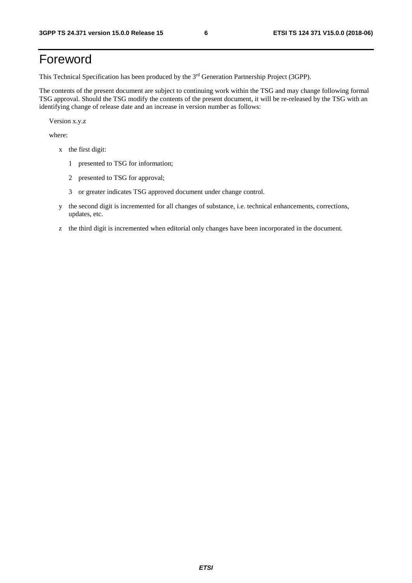## Foreword

This Technical Specification has been produced by the 3rd Generation Partnership Project (3GPP).

The contents of the present document are subject to continuing work within the TSG and may change following formal TSG approval. Should the TSG modify the contents of the present document, it will be re-released by the TSG with an identifying change of release date and an increase in version number as follows:

Version x.y.z

where:

- x the first digit:
	- 1 presented to TSG for information;
	- 2 presented to TSG for approval;
	- 3 or greater indicates TSG approved document under change control.
- y the second digit is incremented for all changes of substance, i.e. technical enhancements, corrections, updates, etc.
- z the third digit is incremented when editorial only changes have been incorporated in the document.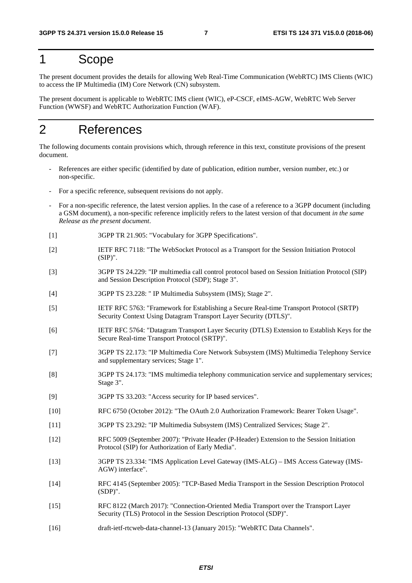## 1 Scope

The present document provides the details for allowing Web Real-Time Communication (WebRTC) IMS Clients (WIC) to access the IP Multimedia (IM) Core Network (CN) subsystem.

The present document is applicable to WebRTC IMS client (WIC), eP-CSCF, eIMS-AGW, WebRTC Web Server Function (WWSF) and WebRTC Authorization Function (WAF).

## 2 References

The following documents contain provisions which, through reference in this text, constitute provisions of the present document.

- References are either specific (identified by date of publication, edition number, version number, etc.) or non-specific.
- For a specific reference, subsequent revisions do not apply.
- For a non-specific reference, the latest version applies. In the case of a reference to a 3GPP document (including a GSM document), a non-specific reference implicitly refers to the latest version of that document *in the same Release as the present document*.
- [1] 3GPP TR 21.905: "Vocabulary for 3GPP Specifications".
- [2] IETF RFC 7118: "The WebSocket Protocol as a Transport for the Session Initiation Protocol  $(SIP)$ ".
- [3] 3GPP TS 24.229: "IP multimedia call control protocol based on Session Initiation Protocol (SIP) and Session Description Protocol (SDP); Stage 3".
- [4] 3GPP TS 23.228: " IP Multimedia Subsystem (IMS); Stage 2".
- [5] IETF RFC 5763: "Framework for Establishing a Secure Real-time Transport Protocol (SRTP) Security Context Using Datagram Transport Layer Security (DTLS)".
- [6] IETF RFC 5764: "Datagram Transport Layer Security (DTLS) Extension to Establish Keys for the Secure Real-time Transport Protocol (SRTP)".
- [7] 3GPP TS 22.173: "IP Multimedia Core Network Subsystem (IMS) Multimedia Telephony Service and supplementary services; Stage 1".
- [8] 3GPP TS 24.173: "IMS multimedia telephony communication service and supplementary services; Stage 3".
- [9] 3GPP TS 33.203: "Access security for IP based services".
- [10] RFC 6750 (October 2012): "The OAuth 2.0 Authorization Framework: Bearer Token Usage".
- [11] 3GPP TS 23.292: "IP Multimedia Subsystem (IMS) Centralized Services; Stage 2".
- [12] RFC 5009 (September 2007): "Private Header (P-Header) Extension to the Session Initiation Protocol (SIP) for Authorization of Early Media".
- [13] 3GPP TS 23.334: "IMS Application Level Gateway (IMS-ALG) IMS Access Gateway (IMS-AGW) interface".
- [14] RFC 4145 (September 2005): "TCP-Based Media Transport in the Session Description Protocol (SDP)".
- [15] RFC 8122 (March 2017): "Connection-Oriented Media Transport over the Transport Layer Security (TLS) Protocol in the Session Description Protocol (SDP)".
- [16] draft-ietf-rtcweb-data-channel-13 (January 2015): "WebRTC Data Channels".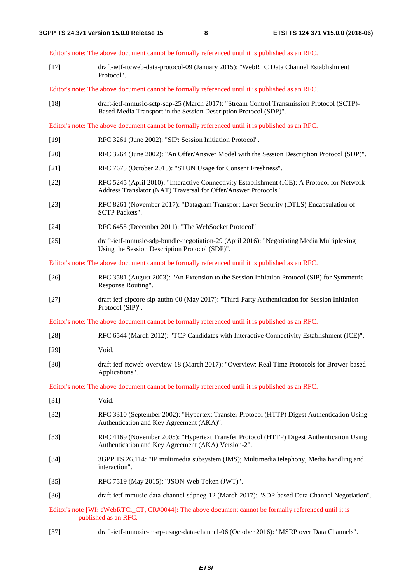Editor's note: The above document cannot be formally referenced until it is published as an RFC.

[17] draft-ietf-rtcweb-data-protocol-09 (January 2015): "WebRTC Data Channel Establishment Protocol".

Editor's note: The above document cannot be formally referenced until it is published as an RFC.

[18] draft-ietf-mmusic-sctp-sdp-25 (March 2017): "Stream Control Transmission Protocol (SCTP)- Based Media Transport in the Session Description Protocol (SDP)".

Editor's note: The above document cannot be formally referenced until it is published as an RFC.

- [19] RFC 3261 (June 2002): "SIP: Session Initiation Protocol".
- [20] RFC 3264 (June 2002): "An Offer/Answer Model with the Session Description Protocol (SDP)".
- [21] RFC 7675 (October 2015): "STUN Usage for Consent Freshness".
- [22] RFC 5245 (April 2010): "Interactive Connectivity Establishment (ICE): A Protocol for Network Address Translator (NAT) Traversal for Offer/Answer Protocols".
- [23] RFC 8261 (November 2017): "Datagram Transport Layer Security (DTLS) Encapsulation of SCTP Packets".
- [24] RFC 6455 (December 2011): "The WebSocket Protocol".
- [25] draft-ietf-mmusic-sdp-bundle-negotiation-29 (April 2016): "Negotiating Media Multiplexing Using the Session Description Protocol (SDP)".

Editor's note: The above document cannot be formally referenced until it is published as an RFC.

- [26] RFC 3581 (August 2003): "An Extension to the Session Initiation Protocol (SIP) for Symmetric Response Routing".
- [27] draft-ietf-sipcore-sip-authn-00 (May 2017): "Third-Party Authentication for Session Initiation Protocol (SIP)".
- Editor's note: The above document cannot be formally referenced until it is published as an RFC.
- [28] RFC 6544 (March 2012): "TCP Candidates with Interactive Connectivity Establishment (ICE)".
- [29] Void.
- [30] draft-ietf-rtcweb-overview-18 (March 2017): "Overview: Real Time Protocols for Brower-based Applications".

Editor's note: The above document cannot be formally referenced until it is published as an RFC.

- [31] **Void.**
- [32] RFC 3310 (September 2002): "Hypertext Transfer Protocol (HTTP) Digest Authentication Using Authentication and Key Agreement (AKA)".
- [33] RFC 4169 (November 2005): "Hypertext Transfer Protocol (HTTP) Digest Authentication Using Authentication and Key Agreement (AKA) Version-2".
- [34] 3GPP TS 26.114: "IP multimedia subsystem (IMS); Multimedia telephony, Media handling and interaction".
- [35] RFC 7519 (May 2015): "JSON Web Token (JWT)".
- [36] draft-ietf-mmusic-data-channel-sdpneg-12 (March 2017): "SDP-based Data Channel Negotiation".

Editor's note [WI: eWebRTCi\_CT, CR#0044]: The above document cannot be formally referenced until it is published as an RFC.

[37] draft-ietf-mmusic-msrp-usage-data-channel-06 (October 2016): "MSRP over Data Channels".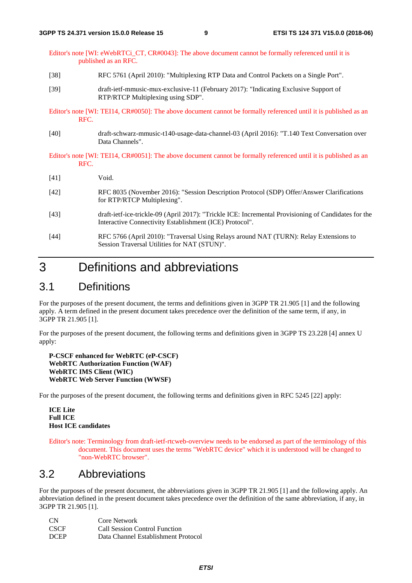Editor's note [WI: eWebRTCi\_CT, CR#0043]: The above document cannot be formally referenced until it is published as an RFC.

- [38] RFC 5761 (April 2010): "Multiplexing RTP Data and Control Packets on a Single Port".
- [39] draft-ietf-mmusic-mux-exclusive-11 (February 2017): "Indicating Exclusive Support of RTP/RTCP Multiplexing using SDP".

Editor's note [WI: TEI14, CR#0050]: The above document cannot be formally referenced until it is published as an RFC.

[40] draft-schwarz-mmusic-t140-usage-data-channel-03 (April 2016): "T.140 Text Conversation over Data Channels".

Editor's note [WI: TEI14, CR#0051]: The above document cannot be formally referenced until it is published as an RFC.

- [41] Void.
- [42] RFC 8035 (November 2016): "Session Description Protocol (SDP) Offer/Answer Clarifications for RTP/RTCP Multiplexing".
- [43] draft-ietf-ice-trickle-09 (April 2017): "Trickle ICE: Incremental Provisioning of Candidates for the Interactive Connectivity Establishment (ICE) Protocol".
- [44] RFC 5766 (April 2010): "Traversal Using Relays around NAT (TURN): Relay Extensions to Session Traversal Utilities for NAT (STUN)".

## 3 Definitions and abbreviations

### 3.1 Definitions

For the purposes of the present document, the terms and definitions given in 3GPP TR 21.905 [1] and the following apply. A term defined in the present document takes precedence over the definition of the same term, if any, in 3GPP TR 21.905 [1].

For the purposes of the present document, the following terms and definitions given in 3GPP TS 23.228 [4] annex U apply:

**P-CSCF enhanced for WebRTC (eP-CSCF) WebRTC Authorization Function (WAF) WebRTC IMS Client (WIC) WebRTC Web Server Function (WWSF)** 

For the purposes of the present document, the following terms and definitions given in RFC 5245 [22] apply:

**ICE Lite Full ICE Host ICE candidates** 

Editor's note: Terminology from draft-ietf-rtcweb-overview needs to be endorsed as part of the terminology of this document. This document uses the terms "WebRTC device" which it is understood will be changed to "non-WebRTC browser".

### 3.2 Abbreviations

For the purposes of the present document, the abbreviations given in 3GPP TR 21.905 [1] and the following apply. An abbreviation defined in the present document takes precedence over the definition of the same abbreviation, if any, in 3GPP TR 21.905 [1].

| <b>CN</b>   | Core Network                        |
|-------------|-------------------------------------|
| <b>CSCF</b> | Call Session Control Function       |
| <b>DCEP</b> | Data Channel Establishment Protocol |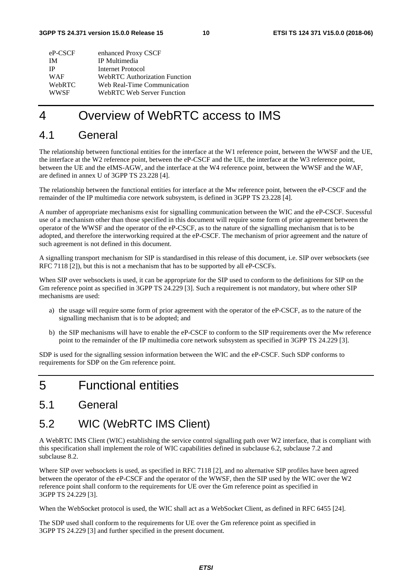| enhanced Proxy CSCF                  |
|--------------------------------------|
| IP Multimedia                        |
| Internet Protocol                    |
| <b>WebRTC Authorization Function</b> |
| Web Real-Time Communication          |
| WebRTC Web Server Function           |
|                                      |

## 4 Overview of WebRTC access to IMS

### 4.1 General

The relationship between functional entities for the interface at the W1 reference point, between the WWSF and the UE, the interface at the W2 reference point, between the eP-CSCF and the UE, the interface at the W3 reference point, between the UE and the eIMS-AGW, and the interface at the W4 reference point, between the WWSF and the WAF, are defined in annex U of 3GPP TS 23.228 [4].

The relationship between the functional entities for interface at the Mw reference point, between the eP-CSCF and the remainder of the IP multimedia core network subsystem, is defined in 3GPP TS 23.228 [4].

A number of appropriate mechanisms exist for signalling communication between the WIC and the eP-CSCF. Sucessful use of a mechanism other than those specified in this document will require some form of prior agreement between the operator of the WWSF and the operator of the eP-CSCF, as to the nature of the signalling mechanism that is to be adopted, and therefore the interworking required at the eP-CSCF. The mechanism of prior agreement and the nature of such agreement is not defined in this document.

A signalling transport mechanism for SIP is standardised in this release of this document, i.e. SIP over websockets (see RFC 7118 [2]), but this is not a mechanism that has to be supported by all eP-CSCFs.

When SIP over websockets is used, it can be appropriate for the SIP used to conform to the definitions for SIP on the Gm reference point as specified in 3GPP TS 24.229 [3]. Such a requirement is not mandatory, but where other SIP mechanisms are used:

- a) the usage will require some form of prior agreement with the operator of the eP-CSCF, as to the nature of the signalling mechanism that is to be adopted; and
- b) the SIP mechanisms will have to enable the eP-CSCF to conform to the SIP requirements over the Mw reference point to the remainder of the IP multimedia core network subsystem as specified in 3GPP TS 24.229 [3].

SDP is used for the signalling session information between the WIC and the eP-CSCF. Such SDP conforms to requirements for SDP on the Gm reference point.

## 5 Functional entities

### 5.1 General

### 5.2 WIC (WebRTC IMS Client)

A WebRTC IMS Client (WIC) establishing the service control signalling path over W2 interface, that is compliant with this specification shall implement the role of WIC capabilities defined in subclause 6.2, subclause 7.2 and subclause 8.2.

Where SIP over websockets is used, as specified in RFC 7118 [2], and no alternative SIP profiles have been agreed between the operator of the eP-CSCF and the operator of the WWSF, then the SIP used by the WIC over the W2 reference point shall conform to the requirements for UE over the Gm reference point as specified in 3GPP TS 24.229 [3].

When the WebSocket protocol is used, the WIC shall act as a WebSocket Client, as defined in RFC 6455 [24].

The SDP used shall conform to the requirements for UE over the Gm reference point as specified in 3GPP TS 24.229 [3] and further specified in the present document.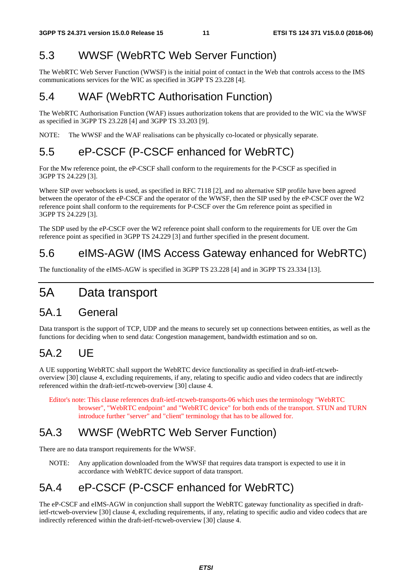## 5.3 WWSF (WebRTC Web Server Function)

The WebRTC Web Server Function (WWSF) is the initial point of contact in the Web that controls access to the IMS communications services for the WIC as specified in 3GPP TS 23.228 [4].

### 5.4 WAF (WebRTC Authorisation Function)

The WebRTC Authorisation Function (WAF) issues authorization tokens that are provided to the WIC via the WWSF as specified in 3GPP TS 23.228 [4] and 3GPP TS 33.203 [9].

NOTE: The WWSF and the WAF realisations can be physically co-located or physically separate.

## 5.5 eP-CSCF (P-CSCF enhanced for WebRTC)

For the Mw reference point, the eP-CSCF shall conform to the requirements for the P-CSCF as specified in 3GPP TS 24.229 [3].

Where SIP over websockets is used, as specified in RFC 7118 [2], and no alternative SIP profile have been agreed between the operator of the eP-CSCF and the operator of the WWSF, then the SIP used by the eP-CSCF over the W2 reference point shall conform to the requirements for P-CSCF over the Gm reference point as specified in 3GPP TS 24.229 [3].

The SDP used by the eP-CSCF over the W2 reference point shall conform to the requirements for UE over the Gm reference point as specified in 3GPP TS 24.229 [3] and further specified in the present document.

## 5.6 eIMS-AGW (IMS Access Gateway enhanced for WebRTC)

The functionality of the eIMS-AGW is specified in 3GPP TS 23.228 [4] and in 3GPP TS 23.334 [13].

## 5A Data transport

### 5A.1 General

Data transport is the support of TCP, UDP and the means to securely set up connections between entities, as well as the functions for deciding when to send data: Congestion management, bandwidth estimation and so on.

## 5A.2 UE

A UE supporting WebRTC shall support the WebRTC device functionality as specified in draft-ietf-rtcweboverview [30] clause 4, excluding requirements, if any, relating to specific audio and video codecs that are indirectly referenced within the draft-ietf-rtcweb-overview [30] clause 4.

Editor's note: This clause references draft-ietf-rtcweb-transports-06 which uses the terminology "WebRTC browser", "WebRTC endpoint" and "WebRTC device" for both ends of the transport. STUN and TURN introduce further "server" and "client" terminology that has to be allowed for.

## 5A.3 WWSF (WebRTC Web Server Function)

There are no data transport requirements for the WWSF.

NOTE: Any application downloaded from the WWSF that requires data transport is expected to use it in accordance with WebRTC device support of data transport.

## 5A.4 eP-CSCF (P-CSCF enhanced for WebRTC)

The eP-CSCF and eIMS-AGW in conjunction shall support the WebRTC gateway functionality as specified in draftietf-rtcweb-overview [30] clause 4, excluding requirements, if any, relating to specific audio and video codecs that are indirectly referenced within the draft-ietf-rtcweb-overview [30] clause 4.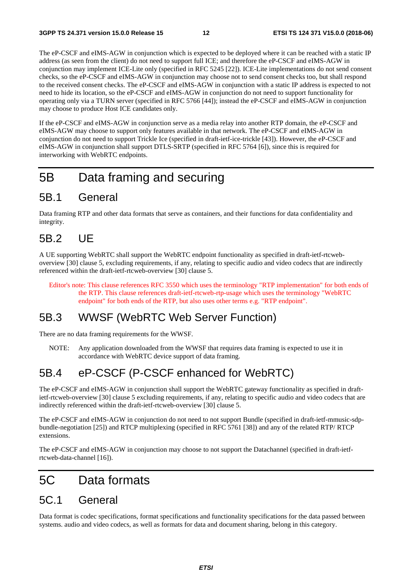The eP-CSCF and eIMS-AGW in conjunction which is expected to be deployed where it can be reached with a static IP address (as seen from the client) do not need to support full ICE; and therefore the eP-CSCF and eIMS-AGW in conjunction may implement ICE-Lite only (specified in RFC 5245 [22]). ICE-Lite implementations do not send consent checks, so the eP-CSCF and eIMS-AGW in conjunction may choose not to send consent checks too, but shall respond to the received consent checks. The eP-CSCF and eIMS-AGW in conjunction with a static IP address is expected to not need to hide its location, so the eP-CSCF and eIMS-AGW in conjunction do not need to support functionality for operating only via a TURN server (specified in RFC 5766 [44]); instead the eP-CSCF and eIMS-AGW in conjunction may choose to produce Host ICE candidates only.

If the eP-CSCF and eIMS-AGW in conjunction serve as a media relay into another RTP domain, the eP-CSCF and eIMS-AGW may choose to support only features available in that network. The eP-CSCF and eIMS-AGW in conjunction do not need to support Trickle Ice (specified in draft-ietf-ice-trickle [43]). However, the eP-CSCF and eIMS-AGW in conjunction shall support DTLS-SRTP (specified in RFC 5764 [6]), since this is required for interworking with WebRTC endpoints.

## 5B Data framing and securing

### 5B.1 General

Data framing RTP and other data formats that serve as containers, and their functions for data confidentiality and integrity.

## 5B.2 UE

A UE supporting WebRTC shall support the WebRTC endpoint functionality as specified in draft-ietf-rtcweboverview [30] clause 5, excluding requirements, if any, relating to specific audio and video codecs that are indirectly referenced within the draft-ietf-rtcweb-overview [30] clause 5.

Editor's note: This clause references RFC 3550 which uses the terminology "RTP implementation" for both ends of the RTP. This clause references draft-ietf-rtcweb-rtp-usage which uses the terminology "WebRTC endpoint" for both ends of the RTP, but also uses other terms e.g. "RTP endpoint".

### 5B.3 WWSF (WebRTC Web Server Function)

There are no data framing requirements for the WWSF.

NOTE: Any application downloaded from the WWSF that requires data framing is expected to use it in accordance with WebRTC device support of data framing.

## 5B.4 eP-CSCF (P-CSCF enhanced for WebRTC)

The eP-CSCF and eIMS-AGW in conjunction shall support the WebRTC gateway functionality as specified in draftietf-rtcweb-overview [30] clause 5 excluding requirements, if any, relating to specific audio and video codecs that are indirectly referenced within the draft-ietf-rtcweb-overview [30] clause 5.

The eP-CSCF and eIMS-AGW in conjunction do not need to not support Bundle (specified in draft-ietf-mmusic-sdpbundle-negotiation [25]) and RTCP multiplexing (specified in RFC 5761 [38]) and any of the related RTP/ RTCP extensions.

The eP-CSCF and eIMS-AGW in conjunction may choose to not support the Datachannel (specified in draft-ietfrtcweb-data-channel [16]).

## 5C Data formats

### 5C.1 General

Data format is codec specifications, format specifications and functionality specifications for the data passed between systems. audio and video codecs, as well as formats for data and document sharing, belong in this category.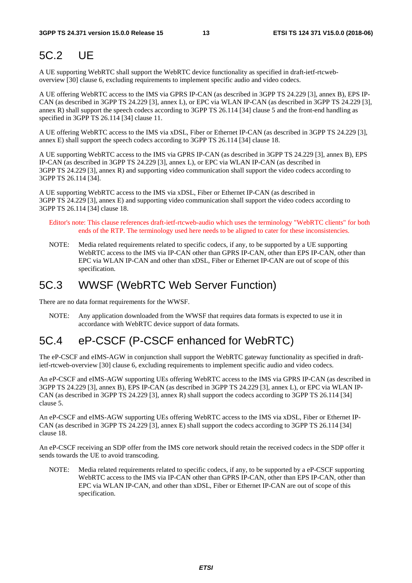## 5C.2 UE

A UE supporting WebRTC shall support the WebRTC device functionality as specified in draft-ietf-rtcweboverview [30] clause 6, excluding requirements to implement specific audio and video codecs.

A UE offering WebRTC access to the IMS via GPRS IP-CAN (as described in 3GPP TS 24.229 [3], annex B), EPS IP-CAN (as described in 3GPP TS 24.229 [3], annex L), or EPC via WLAN IP-CAN (as described in 3GPP TS 24.229 [3], annex R) shall support the speech codecs according to 3GPP TS 26.114 [34] clause 5 and the front-end handling as specified in 3GPP TS 26.114 [34] clause 11.

A UE offering WebRTC access to the IMS via xDSL, Fiber or Ethernet IP-CAN (as described in 3GPP TS 24.229 [3], annex E) shall support the speech codecs according to 3GPP TS 26.114 [34] clause 18.

A UE supporting WebRTC access to the IMS via GPRS IP-CAN (as described in 3GPP TS 24.229 [3], annex B), EPS IP-CAN (as described in 3GPP TS 24.229 [3], annex L), or EPC via WLAN IP-CAN (as described in 3GPP TS 24.229 [3], annex R) and supporting video communication shall support the video codecs according to 3GPP TS 26.114 [34].

A UE supporting WebRTC access to the IMS via xDSL, Fiber or Ethernet IP-CAN (as described in 3GPP TS 24.229 [3], annex E) and supporting video communication shall support the video codecs according to 3GPP TS 26.114 [34] clause 18.

Editor's note: This clause references draft-ietf-rtcweb-audio which uses the terminology "WebRTC clients" for both ends of the RTP. The terminology used here needs to be aligned to cater for these inconsistencies.

NOTE: Media related requirements related to specific codecs, if any, to be supported by a UE supporting WebRTC access to the IMS via IP-CAN other than GPRS IP-CAN, other than EPS IP-CAN, other than EPC via WLAN IP-CAN and other than xDSL, Fiber or Ethernet IP-CAN are out of scope of this specification.

## 5C.3 WWSF (WebRTC Web Server Function)

There are no data format requirements for the WWSF.

NOTE: Any application downloaded from the WWSF that requires data formats is expected to use it in accordance with WebRTC device support of data formats.

## 5C.4 eP-CSCF (P-CSCF enhanced for WebRTC)

The eP-CSCF and eIMS-AGW in conjunction shall support the WebRTC gateway functionality as specified in draftietf-rtcweb-overview [30] clause 6, excluding requirements to implement specific audio and video codecs.

An eP-CSCF and eIMS-AGW supporting UEs offering WebRTC access to the IMS via GPRS IP-CAN (as described in 3GPP TS 24.229 [3], annex B), EPS IP-CAN (as described in 3GPP TS 24.229 [3], annex L), or EPC via WLAN IP-CAN (as described in 3GPP TS 24.229 [3], annex R) shall support the codecs according to 3GPP TS 26.114 [34] clause 5.

An eP-CSCF and eIMS-AGW supporting UEs offering WebRTC access to the IMS via xDSL, Fiber or Ethernet IP-CAN (as described in 3GPP TS 24.229 [3], annex E) shall support the codecs according to 3GPP TS 26.114 [34] clause 18.

An eP-CSCF receiving an SDP offer from the IMS core network should retain the received codecs in the SDP offer it sends towards the UE to avoid transcoding.

NOTE: Media related requirements related to specific codecs, if any, to be supported by a eP-CSCF supporting WebRTC access to the IMS via IP-CAN other than GPRS IP-CAN, other than EPS IP-CAN, other than EPC via WLAN IP-CAN, and other than xDSL, Fiber or Ethernet IP-CAN are out of scope of this specification.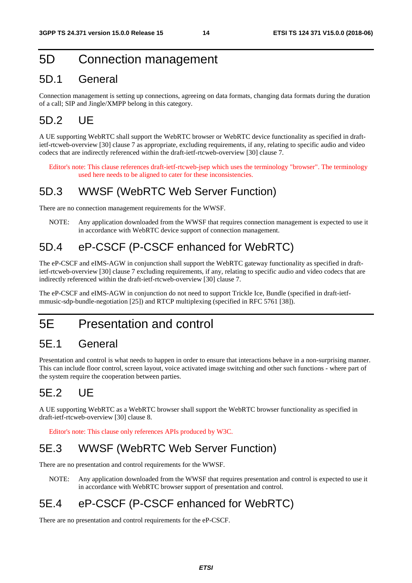### 5D Connection management

### 5D.1 General

Connection management is setting up connections, agreeing on data formats, changing data formats during the duration of a call; SIP and Jingle/XMPP belong in this category.

### 5D.2 UE

A UE supporting WebRTC shall support the WebRTC browser or WebRTC device functionality as specified in draftietf-rtcweb-overview [30] clause 7 as appropriate, excluding requirements, if any, relating to specific audio and video codecs that are indirectly referenced within the draft-ietf-rtcweb-overview [30] clause 7.

Editor's note: This clause references draft-ietf-rtcweb-jsep which uses the terminology "browser". The terminology used here needs to be aligned to cater for these inconsistencies.

### 5D.3 WWSF (WebRTC Web Server Function)

There are no connection management requirements for the WWSF.

NOTE: Any application downloaded from the WWSF that requires connection management is expected to use it in accordance with WebRTC device support of connection management.

### 5D.4 eP-CSCF (P-CSCF enhanced for WebRTC)

The eP-CSCF and eIMS-AGW in conjunction shall support the WebRTC gateway functionality as specified in draftietf-rtcweb-overview [30] clause 7 excluding requirements, if any, relating to specific audio and video codecs that are indirectly referenced within the draft-ietf-rtcweb-overview [30] clause 7.

The eP-CSCF and eIMS-AGW in conjunction do not need to support Trickle Ice, Bundle (specified in draft-ietfmmusic-sdp-bundle-negotiation [25]) and RTCP multiplexing (specified in RFC 5761 [38]).

## 5E Presentation and control

### 5E.1 General

Presentation and control is what needs to happen in order to ensure that interactions behave in a non-surprising manner. This can include floor control, screen layout, voice activated image switching and other such functions - where part of the system require the cooperation between parties.

## 5E.2 UE

A UE supporting WebRTC as a WebRTC browser shall support the WebRTC browser functionality as specified in draft-ietf-rtcweb-overview [30] clause 8.

Editor's note: This clause only references APIs produced by W3C.

## 5E.3 WWSF (WebRTC Web Server Function)

There are no presentation and control requirements for the WWSF.

NOTE: Any application downloaded from the WWSF that requires presentation and control is expected to use it in accordance with WebRTC browser support of presentation and control.

### 5E.4 eP-CSCF (P-CSCF enhanced for WebRTC)

There are no presentation and control requirements for the eP-CSCF.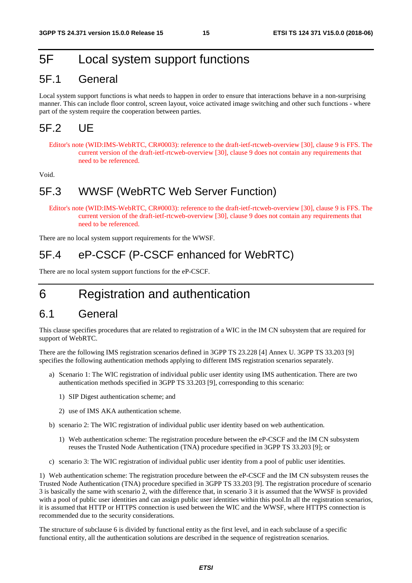## 5F Local system support functions

### 5F.1 General

Local system support functions is what needs to happen in order to ensure that interactions behave in a non-surprising manner. This can include floor control, screen layout, voice activated image switching and other such functions - where part of the system require the cooperation between parties.

### 5F.2 UE

Editor's note (WID:IMS-WebRTC, CR#0003): reference to the draft-ietf-rtcweb-overview [30], clause 9 is FFS. The current version of the draft-ietf-rtcweb-overview [30], clause 9 does not contain any requirements that need to be referenced.

Void.

### 5F.3 WWSF (WebRTC Web Server Function)

Editor's note (WID:IMS-WebRTC, CR#0003): reference to the draft-ietf-rtcweb-overview [30], clause 9 is FFS. The current version of the draft-ietf-rtcweb-overview [30], clause 9 does not contain any requirements that need to be referenced.

There are no local system support requirements for the WWSF.

### 5F.4 eP-CSCF (P-CSCF enhanced for WebRTC)

There are no local system support functions for the eP-CSCF.

## 6 Registration and authentication

### 6.1 General

This clause specifies procedures that are related to registration of a WIC in the IM CN subsystem that are required for support of WebRTC.

There are the following IMS registration scenarios defined in 3GPP TS 23.228 [4] Annex U. 3GPP TS 33.203 [9] specifies the following authentication methods applying to different IMS registration scenarios separately.

- a) Scenario 1: The WIC registration of individual public user identity using IMS authentication. There are two authentication methods specified in 3GPP TS 33.203 [9], corresponding to this scenario:
	- 1) SIP Digest authentication scheme; and
	- 2) use of IMS AKA authentication scheme.
- b) scenario 2: The WIC registration of individual public user identity based on web authentication.
	- 1) Web authentication scheme: The registration procedure between the eP-CSCF and the IM CN subsystem reuses the Trusted Node Authentication (TNA) procedure specified in 3GPP TS 33.203 [9]; or
- c) scenario 3: The WIC registration of individual public user identity from a pool of public user identities.

1) Web authentication scheme: The registration procedure between the eP-CSCF and the IM CN subsystem reuses the Trusted Node Authentication (TNA) procedure specified in 3GPP TS 33.203 [9]. The registration procedure of scenario 3 is basically the same with scenario 2, with the difference that, in scenario 3 it is assumed that the WWSF is provided with a pool of public user identities and can assign public user identities within this pool. In all the registration scenarios, it is assumed that HTTP or HTTPS connection is used between the WIC and the WWSF, where HTTPS connection is recommended due to the security considerations.

The structure of subclause 6 is divided by functional entity as the first level, and in each subclause of a specific functional entity, all the authentication solutions are described in the sequence of registreation scenarios.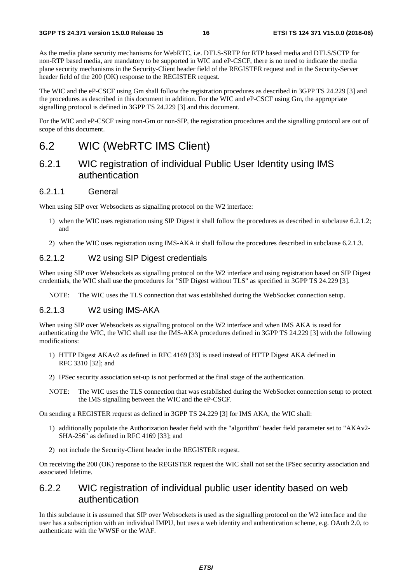As the media plane security mechanisms for WebRTC, i.e. DTLS-SRTP for RTP based media and DTLS/SCTP for non-RTP based media, are mandatory to be supported in WIC and eP-CSCF, there is no need to indicate the media plane security mechanisms in the Security-Client header field of the REGISTER request and in the Security-Server header field of the 200 (OK) response to the REGISTER request.

The WIC and the eP-CSCF using Gm shall follow the registration procedures as described in 3GPP TS 24.229 [3] and the procedures as described in this document in addition. For the WIC and eP-CSCF using Gm, the appropriate signalling protocol is defined in 3GPP TS 24.229 [3] and this document.

For the WIC and eP-CSCF using non-Gm or non-SIP, the registration procedures and the signalling protocol are out of scope of this document.

### 6.2 WIC (WebRTC IMS Client)

### 6.2.1 WIC registration of individual Public User Identity using IMS authentication

#### 6.2.1.1 General

When using SIP over Websockets as signalling protocol on the W2 interface:

- 1) when the WIC uses registration using SIP Digest it shall follow the procedures as described in subclause 6.2.1.2; and
- 2) when the WIC uses registration using IMS-AKA it shall follow the procedures described in subclause 6.2.1.3.

#### 6.2.1.2 W2 using SIP Digest credentials

When using SIP over Websockets as signalling protocol on the W2 interface and using registration based on SIP Digest credentials, the WIC shall use the procedures for "SIP Digest without TLS" as specified in 3GPP TS 24.229 [3].

NOTE: The WIC uses the TLS connection that was established during the WebSocket connection setup.

#### 6.2.1.3 W2 using IMS-AKA

When using SIP over Websockets as signalling protocol on the W2 interface and when IMS AKA is used for authenticating the WIC, the WIC shall use the IMS-AKA procedures defined in 3GPP TS 24.229 [3] with the following modifications:

- 1) HTTP Digest AKAv2 as defined in RFC 4169 [33] is used instead of HTTP Digest AKA defined in RFC 3310 [32]; and
- 2) IPSec security association set-up is not performed at the final stage of the authentication.
- NOTE: The WIC uses the TLS connection that was established during the WebSocket connection setup to protect the IMS signalling between the WIC and the eP-CSCF.

On sending a REGISTER request as defined in 3GPP TS 24.229 [3] for IMS AKA, the WIC shall:

- 1) additionally populate the Authorization header field with the "algorithm" header field parameter set to "AKAv2- SHA-256" as defined in RFC 4169 [33]; and
- 2) not include the Security-Client header in the REGISTER request.

On receiving the 200 (OK) response to the REGISTER request the WIC shall not set the IPSec security association and associated lifetime.

### 6.2.2 WIC registration of individual public user identity based on web authentication

In this subclause it is assumed that SIP over Websockets is used as the signalling protocol on the W2 interface and the user has a subscription with an individual IMPU, but uses a web identity and authentication scheme, e.g. OAuth 2.0, to authenticate with the WWSF or the WAF.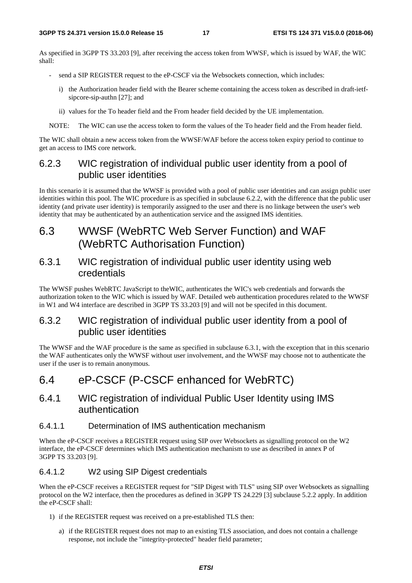As specified in 3GPP TS 33.203 [9], after receiving the access token from WWSF, which is issued by WAF, the WIC shall:

- send a SIP REGISTER request to the eP-CSCF via the Websockets connection, which includes:
	- i) the Authorization header field with the Bearer scheme containing the access token as described in draft-ietfsipcore-sip-authn [27]; and
	- ii) values for the To header field and the From header field decided by the UE implementation.

NOTE: The WIC can use the access token to form the values of the To header field and the From header field.

The WIC shall obtain a new access token from the WWSF/WAF before the access token expiry period to continue to get an access to IMS core network.

### 6.2.3 WIC registration of individual public user identity from a pool of public user identities

In this scenario it is assumed that the WWSF is provided with a pool of public user identities and can assign public user identities within this pool. The WIC procedure is as specified in subclause 6.2.2, with the difference that the public user identity (and private user identity) is temporarily assigned to the user and there is no linkage between the user's web identity that may be authenticated by an authentication service and the assigned IMS identities.

### 6.3 WWSF (WebRTC Web Server Function) and WAF (WebRTC Authorisation Function)

### 6.3.1 WIC registration of individual public user identity using web credentials

The WWSF pushes WebRTC JavaScript to theWIC, authenticates the WIC's web credentials and forwards the authorization token to the WIC which is issued by WAF. Detailed web authentication procedures related to the WWSF in W1 and W4 interface are described in 3GPP TS 33.203 [9] and will not be specifed in this document.

### 6.3.2 WIC registration of individual public user identity from a pool of public user identities

The WWSF and the WAF procedure is the same as specified in subclause 6.3.1, with the exception that in this scenario the WAF authenticates only the WWSF without user involvement, and the WWSF may choose not to authenticate the user if the user is to remain anonymous.

### 6.4 eP-CSCF (P-CSCF enhanced for WebRTC)

### 6.4.1 WIC registration of individual Public User Identity using IMS authentication

#### 6.4.1.1 Determination of IMS authentication mechanism

When the eP-CSCF receives a REGISTER request using SIP over Websockets as signalling protocol on the W2 interface, the eP-CSCF determines which IMS authentication mechanism to use as described in annex P of 3GPP TS 33.203 [9].

#### 6.4.1.2 W2 using SIP Digest credentials

When the eP-CSCF receives a REGISTER request for "SIP Digest with TLS" using SIP over Websockets as signalling protocol on the W2 interface, then the procedures as defined in 3GPP TS 24.229 [3] subclause 5.2.2 apply. In addition the eP-CSCF shall:

- 1) if the REGISTER request was received on a pre-established TLS then:
	- a) if the REGISTER request does not map to an existing TLS association, and does not contain a challenge response, not include the "integrity-protected" header field parameter;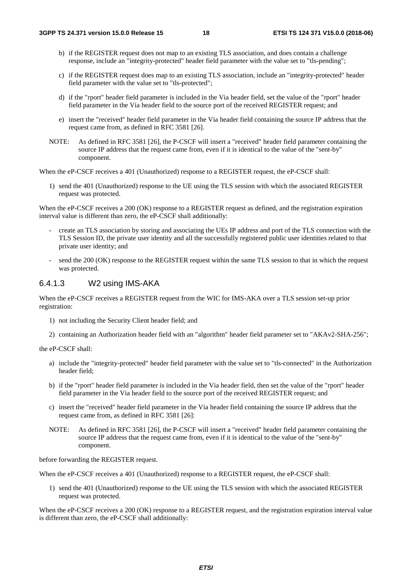- b) if the REGISTER request does not map to an existing TLS association, and does contain a challenge response, include an "integrity-protected" header field parameter with the value set to "tls-pending";
- c) if the REGISTER request does map to an existing TLS association, include an "integrity-protected" header field parameter with the value set to "tls-protected";
- d) if the "rport" header field parameter is included in the Via header field, set the value of the "rport" header field parameter in the Via header field to the source port of the received REGISTER request; and
- e) insert the "received" header field parameter in the Via header field containing the source IP address that the request came from, as defined in RFC 3581 [26].
- NOTE: As defined in RFC 3581 [26], the P-CSCF will insert a "received" header field parameter containing the source IP address that the request came from, even if it is identical to the value of the "sent-by" component.

When the eP-CSCF receives a 401 (Unauthorized) response to a REGISTER request, the eP-CSCF shall:

1) send the 401 (Unauthorized) response to the UE using the TLS session with which the associated REGISTER request was protected.

When the eP-CSCF receives a 200 (OK) response to a REGISTER request as defined, and the registration expiration interval value is different than zero, the eP-CSCF shall additionally:

- create an TLS association by storing and associating the UEs IP address and port of the TLS connection with the TLS Session ID, the private user identity and all the successfully registered public user identities related to that private user identity; and
- send the 200 (OK) response to the REGISTER request within the same TLS session to that in which the request was protected.

#### 6.4.1.3 W2 using IMS-AKA

When the eP-CSCF receives a REGISTER request from the WIC for IMS-AKA over a TLS session set-up prior registration:

- 1) not including the Security Client header field; and
- 2) containing an Authorization header field with an "algorithm" header field parameter set to "AKAv2-SHA-256";

the eP-CSCF shall:

- a) include the "integrity-protected" header field parameter with the value set to "tls-connected" in the Authorization header field;
- b) if the "rport" header field parameter is included in the Via header field, then set the value of the "rport" header field parameter in the Via header field to the source port of the received REGISTER request; and
- c) insert the "received" header field parameter in the Via header field containing the source IP address that the request came from, as defined in RFC 3581 [26]:
- NOTE: As defined in RFC 3581 [26], the P-CSCF will insert a "received" header field parameter containing the source IP address that the request came from, even if it is identical to the value of the "sent-by" component.

before forwarding the REGISTER request.

When the eP-CSCF receives a 401 (Unauthorized) response to a REGISTER request, the eP-CSCF shall:

1) send the 401 (Unauthorized) response to the UE using the TLS session with which the associated REGISTER request was protected.

When the eP-CSCF receives a 200 (OK) response to a REGISTER request, and the registration expiration interval value is different than zero, the eP-CSCF shall additionally: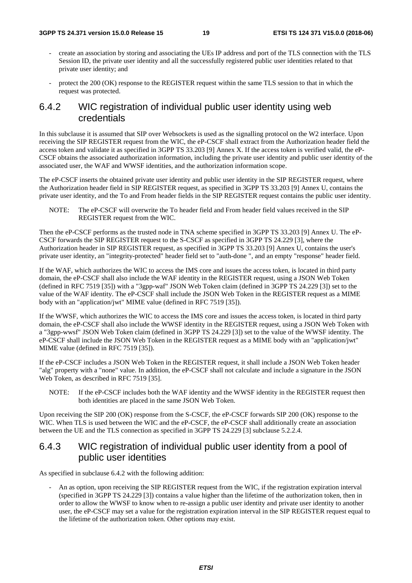- create an association by storing and associating the UEs IP address and port of the TLS connection with the TLS Session ID, the private user identity and all the successfully registered public user identities related to that private user identity; and
- protect the 200 (OK) response to the REGISTER request within the same TLS session to that in which the request was protected.

### 6.4.2 WIC registration of individual public user identity using web credentials

In this subclause it is assumed that SIP over Websockets is used as the signalling protocol on the W2 interface. Upon receiving the SIP REGISTER request from the WIC, the eP-CSCF shall extract from the Authorization header field the access token and validate it as specified in 3GPP TS 33.203 [9] Annex X. If the access token is verified valid, the eP-CSCF obtains the associated authorization information, including the private user identity and public user identity of the associated user, the WAF and WWSF identities, and the authorization information scope.

The eP-CSCF inserts the obtained private user identity and public user identity in the SIP REGISTER request, where the Authorization header field in SIP REGISTER request, as specified in 3GPP TS 33.203 [9] Annex U, contains the private user identity, and the To and From header fields in the SIP REGISTER request contains the public user identity.

NOTE: The eP-CSCF will overwrite the To header field and From header field values received in the SIP REGISTER request from the WIC.

Then the eP-CSCF performs as the trusted node in TNA scheme specified in 3GPP TS 33.203 [9] Annex U. The eP-CSCF forwards the SIP REGISTER request to the S-CSCF as specified in 3GPP TS 24.229 [3], where the Authorization header in SIP REGISTER request, as specified in 3GPP TS 33.203 [9] Annex U, contains the user's private user identity, an "integrity-protected" header field set to "auth-done ", and an empty "response" header field.

If the WAF, which authorizes the WIC to access the IMS core and issues the access token, is located in third party domain, the eP-CSCF shall also include the WAF identity in the REGISTER request, using a JSON Web Token (defined in RFC 7519 [35]) with a "3gpp-waf" JSON Web Token claim (defined in 3GPP TS 24.229 [3]) set to the value of the WAF identity. The eP-CSCF shall include the JSON Web Token in the REGISTER request as a MIME body with an "application/jwt" MIME value (defined in RFC 7519 [35]).

If the WWSF, which authorizes the WIC to access the IMS core and issues the access token, is located in third party domain, the eP-CSCF shall also include the WWSF identity in the REGISTER request, using a JSON Web Token with a "3gpp-wwsf" JSON Web Token claim (defined in 3GPP TS 24.229 [3]) set to the value of the WWSF identity. The eP-CSCF shall include the JSON Web Token in the REGISTER request as a MIME body with an "application/jwt" MIME value (defined in RFC 7519 [35]).

If the eP-CSCF includes a JSON Web Token in the REGISTER request, it shall include a JSON Web Token header "alg" property with a "none" value. In addition, the eP-CSCF shall not calculate and include a signature in the JSON Web Token, as described in RFC 7519 [35].

NOTE: If the eP-CSCF includes both the WAF identity and the WWSF identity in the REGISTER request then both identities are placed in the same JSON Web Token.

Upon receiving the SIP 200 (OK) response from the S-CSCF, the eP-CSCF forwards SIP 200 (OK) response to the WIC. When TLS is used between the WIC and the eP-CSCF, the eP-CSCF shall additionally create an association between the UE and the TLS connection as specified in 3GPP TS 24.229 [3] subclause 5.2.2.4.

### 6.4.3 WIC registration of individual public user identity from a pool of public user identities

As specified in subclause 6.4.2 with the following addition:

- An as option, upon receiving the SIP REGISTER request from the WIC, if the registration expiration interval (specified in 3GPP TS 24.229 [3]) contains a value higher than the lifetime of the authorization token, then in order to allow the WWSF to know when to re-assign a public user identity and private user identity to another user, the eP-CSCF may set a value for the registration expiration interval in the SIP REGISTER request equal to the lifetime of the authorization token. Other options may exist.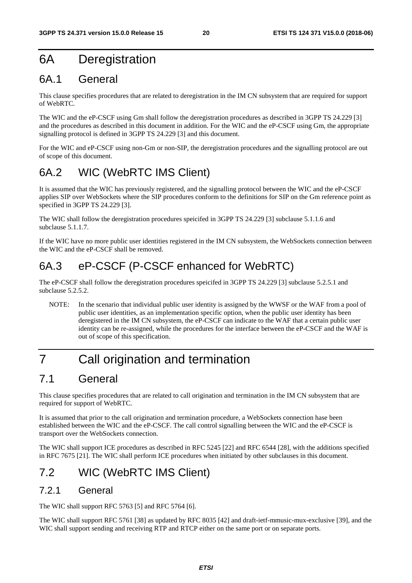## 6A Deregistration

## 6A.1 General

This clause specifies procedures that are related to deregistration in the IM CN subsystem that are required for support of WebRTC.

The WIC and the eP-CSCF using Gm shall follow the deregistration procedures as described in 3GPP TS 24.229 [3] and the procedures as described in this document in addition. For the WIC and the eP-CSCF using Gm, the appropriate signalling protocol is defined in 3GPP TS 24.229 [3] and this document.

For the WIC and eP-CSCF using non-Gm or non-SIP, the deregistration procedures and the signalling protocol are out of scope of this document.

## 6A.2 WIC (WebRTC IMS Client)

It is assumed that the WIC has previously registered, and the signalling protocol between the WIC and the eP-CSCF applies SIP over WebSockets where the SIP procedures conform to the definitions for SIP on the Gm reference point as specified in 3GPP TS 24.229 [3].

The WIC shall follow the deregistration procedures speicifed in 3GPP TS 24.229 [3] subclause 5.1.1.6 and subclause 5.1.1.7.

If the WIC have no more public user identities registered in the IM CN subsystem, the WebSockets connection between the WIC and the eP-CSCF shall be removed.

## 6A.3 eP-CSCF (P-CSCF enhanced for WebRTC)

The eP-CSCF shall follow the deregistration procedures speicifed in 3GPP TS 24.229 [3] subclause 5.2.5.1 and subclause 5.2.5.2.

NOTE: In the scenario that individual public user identity is assigned by the WWSF or the WAF from a pool of public user identities, as an implementation specific option, when the public user identity has been deregistered in the IM CN subsystem, the eP-CSCF can indicate to the WAF that a certain public user identity can be re-assigned, while the procedures for the interface between the eP-CSCF and the WAF is out of scope of this specification.

## 7 Call origination and termination

## 7.1 General

This clause specifies procedures that are related to call origination and termination in the IM CN subsystem that are required for support of WebRTC.

It is assumed that prior to the call origination and termination procedure, a WebSockets connection hase been established between the WIC and the eP-CSCF. The call control signalling between the WIC and the eP-CSCF is transport over the WebSockets connection.

The WIC shall support ICE procedures as described in RFC 5245 [22] and RFC 6544 [28], with the additions specified in RFC 7675 [21]. The WIC shall perform ICE procedures when initiated by other subclauses in this document.

## 7.2 WIC (WebRTC IMS Client)

### 7.2.1 General

The WIC shall support RFC 5763 [5] and RFC 5764 [6].

The WIC shall support RFC 5761 [38] as updated by RFC 8035 [42] and draft-ietf-mmusic-mux-exclusive [39], and the WIC shall support sending and receiving RTP and RTCP either on the same port or on separate ports.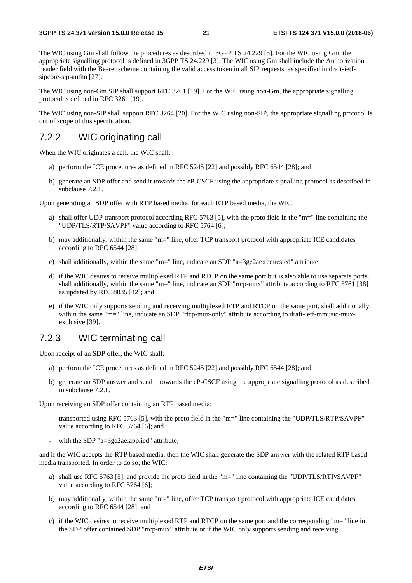The WIC using Gm shall follow the procedures as described in 3GPP TS 24.229 [3]. For the WIC using Gm, the appropriate signalling protocol is defined in 3GPP TS 24.229 [3]. The WIC using Gm shall include the Authorization header field with the Bearer scheme containing the valid access token in all SIP requests, as specified in draft-ietfsipcore-sip-authn [27].

The WIC using non-Gm SIP shall support RFC 3261 [19]. For the WIC using non-Gm, the appropriate signalling protocol is defined in RFC 3261 [19].

The WIC using non-SIP shall support RFC 3264 [20]. For the WIC using non-SIP, the appropriate signalling protocol is out of scope of this specification.

### 7.2.2 WIC originating call

When the WIC originates a call, the WIC shall:

- a) perform the ICE procedures as defined in RFC 5245 [22] and possibly RFC 6544 [28]; and
- b) generate an SDP offer and send it towards the eP-CSCF using the appropriate signalling protocol as described in subclause 7.2.1.

Upon generating an SDP offer with RTP based media, for each RTP based media, the WIC

- a) shall offer UDP transport protocol according RFC 5763 [5], with the proto field in the "m=" line containing the "UDP/TLS/RTP/SAVPF" value according to RFC 5764 [6];
- b) may additionally, within the same "m=" line, offer TCP transport protocol with appropriate ICE candidates according to RFC 6544 [28];
- c) shall additionally, within the same "m=" line, indicate an SDP " $a=3$ ge2ae:requested" attribute;
- d) if the WIC desires to receive multiplexed RTP and RTCP on the same port but is also able to use separate ports, shall additionally, within the same "m=" line, indicate an SDP "rtcp-mux" attribute according to RFC 5761 [38] as updated by RFC 8035 [42]; and
- e) if the WIC only supports sending and receiving multiplexed RTP and RTCP on the same port, shall additionally, within the same "m=" line, indicate an SDP "rtcp-mux-only" attribute according to draft-ietf-mmusic-muxexclusive [39].

### 7.2.3 WIC terminating call

Upon receipt of an SDP offer, the WIC shall:

- a) perform the ICE procedures as defined in RFC 5245 [22] and possibly RFC 6544 [28]; and
- b) generate an SDP answer and send it towards the eP-CSCF using the appropriate signalling protocol as described in subclause 7.2.1.

Upon receiving an SDP offer containing an RTP based media:

- transported using RFC 5763 [5], with the proto field in the "m=" line containing the "UDP/TLS/RTP/SAVPF" value according to RFC 5764 [6]; and
- with the SDP "a=3ge2ae:applied" attribute;

and if the WIC accepts the RTP based media, then the WIC shall generate the SDP answer with the related RTP based media transported. In order to do so, the WIC:

- a) shall use RFC 5763 [5], and provide the proto field in the "m=" line containing the "UDP/TLS/RTP/SAVPF" value according to RFC 5764 [6];
- b) may additionally, within the same "m=" line, offer TCP transport protocol with appropriate ICE candidates according to RFC 6544 [28]; and
- c) if the WIC desires to receive multiplexed RTP and RTCP on the same port and the corresponding "m=" line in the SDP offer contained SDP "rtcp-mux" attribute or if the WIC only supports sending and receiving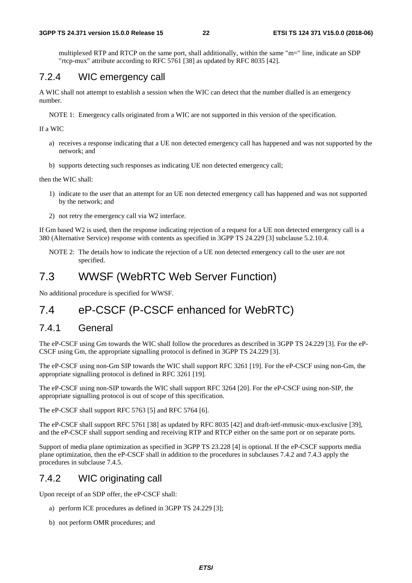multiplexed RTP and RTCP on the same port, shall additionally, within the same "m=" line, indicate an SDP "rtcp-mux" attribute according to RFC 5761 [38] as updated by RFC 8035 [42].

### 7.2.4 WIC emergency call

A WIC shall not attempt to establish a session when the WIC can detect that the number dialled is an emergency number.

NOTE 1: Emergency calls originated from a WIC are not supported in this version of the specification.

If a WIC

- a) receives a response indicating that a UE non detected emergency call has happened and was not supported by the network; and
- b) supports detecting such responses as indicating UE non detected emergency call;

then the WIC shall:

- 1) indicate to the user that an attempt for an UE non detected emergency call has happened and was not supported by the network; and
- 2) not retry the emergency call via W2 interface.

If Gm based W2 is used, then the response indicating rejection of a request for a UE non detected emergency call is a 380 (Alternative Service) response with contents as specified in 3GPP TS 24.229 [3] subclause 5.2.10.4.

NOTE 2: The details how to indicate the rejection of a UE non detected emergency call to the user are not specified.

### 7.3 WWSF (WebRTC Web Server Function)

No additional procedure is specified for WWSF.

### 7.4 eP-CSCF (P-CSCF enhanced for WebRTC)

### 7.4.1 General

The eP-CSCF using Gm towards the WIC shall follow the procedures as described in 3GPP TS 24.229 [3]. For the eP-CSCF using Gm, the appropriate signalling protocol is defined in 3GPP TS 24.229 [3].

The eP-CSCF using non-Gm SIP towards the WIC shall support RFC 3261 [19]. For the eP-CSCF using non-Gm, the appropriate signalling protocol is defined in RFC 3261 [19].

The eP-CSCF using non-SIP towards the WIC shall support RFC 3264 [20]. For the eP-CSCF using non-SIP, the appropriate signalling protocol is out of scope of this specification.

The eP-CSCF shall support RFC 5763 [5] and RFC 5764 [6].

The eP-CSCF shall support RFC 5761 [38] as updated by RFC 8035 [42] and draft-ietf-mmusic-mux-exclusive [39], and the eP-CSCF shall support sending and receiving RTP and RTCP either on the same port or on separate ports.

Support of media plane optimization as specified in 3GPP TS 23.228 [4] is optional. If the eP-CSCF supports media plane optimization, then the eP-CSCF shall in addition to the procedures in subclauses 7.4.2 and 7.4.3 apply the procedures in subclause 7.4.5.

### 7.4.2 WIC originating call

Upon receipt of an SDP offer, the eP-CSCF shall:

- a) perform ICE procedures as defined in 3GPP TS 24.229 [3];
- b) not perform OMR procedures; and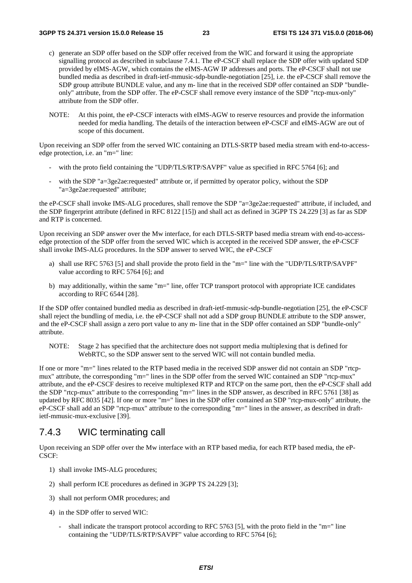- c) generate an SDP offer based on the SDP offer received from the WIC and forward it using the appropriate signalling protocol as described in subclause 7.4.1. The eP-CSCF shall replace the SDP offer with updated SDP provided by eIMS-AGW, which contains the eIMS-AGW IP addresses and ports. The eP-CSCF shall not use bundled media as described in draft-ietf-mmusic-sdp-bundle-negotiation [25], i.e. the eP-CSCF shall remove the SDP group attribute BUNDLE value, and any m- line that in the received SDP offer contained an SDP "bundleonly" attribute, from the SDP offer. The eP-CSCF shall remove every instance of the SDP "rtcp-mux-only" attribute from the SDP offer.
- NOTE: At this point, the eP-CSCF interacts with eIMS-AGW to reserve resources and provide the information needed for media handling. The details of the interaction between eP-CSCF and eIMS-AGW are out of scope of this document.

Upon receiving an SDP offer from the served WIC containing an DTLS-SRTP based media stream with end-to-accessedge protection, i.e. an "m=" line:

- with the proto field containing the "UDP/TLS/RTP/SAVPF" value as specified in RFC 5764 [6]; and
- with the SDP "a=3ge2ae:requested" attribute or, if permitted by operator policy, without the SDP "a=3ge2ae:requested" attribute;

the eP-CSCF shall invoke IMS-ALG procedures, shall remove the SDP "a=3ge2ae:requested" attribute, if included, and the SDP fingerprint attribute (defined in RFC 8122 [15]) and shall act as defined in 3GPP TS 24.229 [3] as far as SDP and RTP is concerned.

Upon receiving an SDP answer over the Mw interface, for each DTLS-SRTP based media stream with end-to-accessedge protection of the SDP offer from the served WIC which is accepted in the received SDP answer, the eP-CSCF shall invoke IMS-ALG procedures. In the SDP answer to served WIC, the eP-CSCF

- a) shall use RFC 5763 [5] and shall provide the proto field in the "m=" line with the "UDP/TLS/RTP/SAVPF" value according to RFC 5764 [6]; and
- b) may additionally, within the same "m=" line, offer TCP transport protocol with appropriate ICE candidates according to RFC 6544 [28].

If the SDP offer contained bundled media as described in draft-ietf-mmusic-sdp-bundle-negotiation [25], the eP-CSCF shall reject the bundling of media, i.e. the eP-CSCF shall not add a SDP group BUNDLE attribute to the SDP answer, and the eP-CSCF shall assign a zero port value to any m- line that in the SDP offer contained an SDP "bundle-only" attribute.

NOTE: Stage 2 has specified that the architecture does not support media multiplexing that is defined for WebRTC, so the SDP answer sent to the served WIC will not contain bundled media.

If one or more "m=" lines related to the RTP based media in the received SDP answer did not contain an SDP "rtcpmux" attribute, the corresponding "m=" lines in the SDP offer from the served WIC contained an SDP "rtcp-mux" attribute, and the eP-CSCF desires to receive multiplexed RTP and RTCP on the same port, then the eP-CSCF shall add the SDP "rtcp-mux" attribute to the corresponding "m=" lines in the SDP answer, as described in RFC 5761 [38] as updated by RFC 8035 [42]. If one or more "m=" lines in the SDP offer contained an SDP "rtcp-mux-only" attribute, the eP-CSCF shall add an SDP "rtcp-mux" attribute to the corresponding "m=" lines in the answer, as described in draftietf-mmusic-mux-exclusive [39].

### 7.4.3 WIC terminating call

Upon receiving an SDP offer over the Mw interface with an RTP based media, for each RTP based media, the eP-CSCF:

- 1) shall invoke IMS-ALG procedures;
- 2) shall perform ICE procedures as defined in 3GPP TS 24.229 [3];
- 3) shall not perform OMR procedures; and
- 4) in the SDP offer to served WIC:
	- shall indicate the transport protocol according to RFC 5763 [5], with the proto field in the "m=" line containing the "UDP/TLS/RTP/SAVPF" value according to RFC 5764 [6];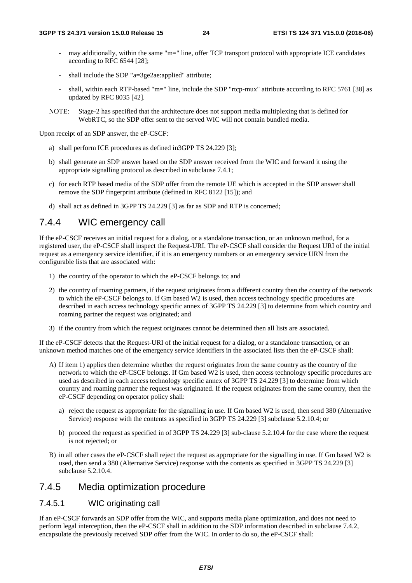- may additionally, within the same "m=" line, offer TCP transport protocol with appropriate ICE candidates according to RFC 6544 [28];
- shall include the SDP "a=3ge2ae:applied" attribute;
- shall, within each RTP-based "m=" line, include the SDP "rtcp-mux" attribute according to RFC 5761 [38] as updated by RFC 8035 [42].
- NOTE: Stage-2 has specified that the architecture does not support media multiplexing that is defined for WebRTC, so the SDP offer sent to the served WIC will not contain bundled media.

Upon receipt of an SDP answer, the eP-CSCF:

- a) shall perform ICE procedures as defined in3GPP TS 24.229 [3];
- b) shall generate an SDP answer based on the SDP answer received from the WIC and forward it using the appropriate signalling protocol as described in subclause 7.4.1;
- c) for each RTP based media of the SDP offer from the remote UE which is accepted in the SDP answer shall remove the SDP fingerprint attribute (defined in RFC 8122 [15]); and
- d) shall act as defined in 3GPP TS 24.229 [3] as far as SDP and RTP is concerned;

### 7.4.4 WIC emergency call

If the eP-CSCF receives an initial request for a dialog, or a standalone transaction, or an unknown method, for a registered user, the eP-CSCF shall inspect the Request-URI. The eP-CSCF shall consider the Request URI of the initial request as a emergency service identifier, if it is an emergency numbers or an emergency service URN from the configurable lists that are associated with:

- 1) the country of the operator to which the eP-CSCF belongs to; and
- 2) the country of roaming partners, if the request originates from a different country then the country of the network to which the eP-CSCF belongs to. If Gm based W2 is used, then access technology specific procedures are described in each access technology specific annex of 3GPP TS 24.229 [3] to determine from which country and roaming partner the request was originated; and
- 3) if the country from which the request originates cannot be determined then all lists are associated.

If the eP-CSCF detects that the Request-URI of the initial request for a dialog, or a standalone transaction, or an unknown method matches one of the emergency service identifiers in the associated lists then the eP-CSCF shall:

- A) If item 1) applies then determine whether the request originates from the same country as the country of the network to which the eP-CSCF belongs. If Gm based W2 is used, then access technology specific procedures are used as described in each access technology specific annex of 3GPP TS 24.229 [3] to determine from which country and roaming partner the request was originated. If the request originates from the same country, then the eP-CSCF depending on operator policy shall:
	- a) reject the request as appropriate for the signalling in use. If Gm based W2 is used, then send 380 (Alternative Service) response with the contents as specified in 3GPP TS 24.229 [3] subclause 5.2.10.4; or
	- b) proceed the request as specified in of 3GPP TS 24.229 [3] sub-clause 5.2.10.4 for the case where the request is not rejected; or
- B) in all other cases the eP-CSCF shall reject the request as appropriate for the signalling in use. If Gm based W2 is used, then send a 380 (Alternative Service) response with the contents as specified in 3GPP TS 24.229 [3] subclause 5.2.10.4.

### 7.4.5 Media optimization procedure

#### 7.4.5.1 WIC originating call

If an eP-CSCF forwards an SDP offer from the WIC, and supports media plane optimization, and does not need to perform legal interception, then the eP-CSCF shall in addition to the SDP information described in subclause 7.4.2, encapsulate the previously received SDP offer from the WIC. In order to do so, the eP-CSCF shall: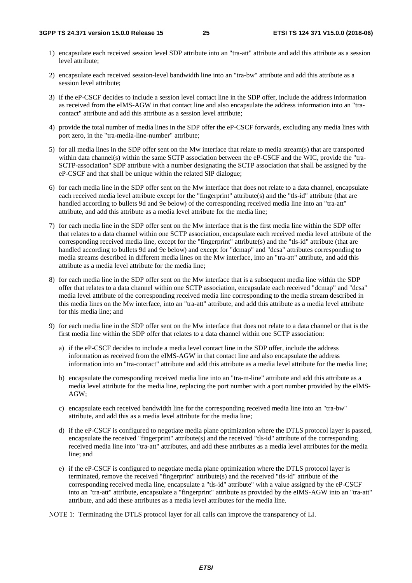- 1) encapsulate each received session level SDP attribute into an "tra-att" attribute and add this attribute as a session level attribute;
- 2) encapsulate each received session-level bandwidth line into an "tra-bw" attribute and add this attribute as a session level attribute;
- 3) if the eP-CSCF decides to include a session level contact line in the SDP offer, include the address information as received from the eIMS-AGW in that contact line and also encapsulate the address information into an "tracontact" attribute and add this attribute as a session level attribute;
- 4) provide the total number of media lines in the SDP offer the eP-CSCF forwards, excluding any media lines with port zero, in the "tra-media-line-number" attribute;
- 5) for all media lines in the SDP offer sent on the Mw interface that relate to media stream(s) that are transported within data channel(s) within the same SCTP association between the eP-CSCF and the WIC, provide the "tra-SCTP-association" SDP attribute with a number designating the SCTP association that shall be assigned by the eP-CSCF and that shall be unique within the related SIP dialogue;
- 6) for each media line in the SDP offer sent on the Mw interface that does not relate to a data channel, encapsulate each received media level attribute except for the "fingerprint" attribute(s) and the "tls-id" attribute (that are handled according to bullets 9d and 9e below) of the corresponding received media line into an "tra-att" attribute, and add this attribute as a media level attribute for the media line;
- 7) for each media line in the SDP offer sent on the Mw interface that is the first media line within the SDP offer that relates to a data channel within one SCTP association, encapsulate each received media level attribute of the corresponding received media line, except for the "fingerprint" attribute(s) and the "tls-id" attribute (that are handled according to bullets 9d and 9e below) and except for "dcmap" and "dcsa" attributes corresponding to media streams described in different media lines on the Mw interface, into an "tra-att" attribute, and add this attribute as a media level attribute for the media line;
- 8) for each media line in the SDP offer sent on the Mw interface that is a subsequent media line within the SDP offer that relates to a data channel within one SCTP association, encapsulate each received "dcmap" and "dcsa" media level attribute of the corresponding received media line corresponding to the media stream described in this media lines on the Mw interface, into an "tra-att" attribute, and add this attribute as a media level attribute for this media line; and
- 9) for each media line in the SDP offer sent on the Mw interface that does not relate to a data channel or that is the first media line within the SDP offer that relates to a data channel within one SCTP association:
	- a) if the eP-CSCF decides to include a media level contact line in the SDP offer, include the address information as received from the eIMS-AGW in that contact line and also encapsulate the address information into an "tra-contact" attribute and add this attribute as a media level attribute for the media line;
	- b) encapsulate the corresponding received media line into an "tra-m-line" attribute and add this attribute as a media level attribute for the media line, replacing the port number with a port number provided by the eIMS-AGW;
	- c) encapsulate each received bandwidth line for the corresponding received media line into an "tra-bw" attribute, and add this as a media level attribute for the media line;
	- d) if the eP-CSCF is configured to negotiate media plane optimization where the DTLS protocol layer is passed, encapsulate the received "fingerprint" attribute(s) and the received "tls-id" attribute of the corresponding received media line into "tra-att" attributes, and add these attributes as a media level attributes for the media line; and
	- e) if the eP-CSCF is configured to negotiate media plane optimization where the DTLS protocol layer is terminated, remove the received "fingerprint" attribute(s) and the received "tls-id" attribute of the corresponding received media line, encapsulate a "tls-id" attribute" with a value assigned by the eP-CSCF into an "tra-att" attribute, encapsulate a "fingerprint" attribute as provided by the eIMS-AGW into an "tra-att" attribute, and add these attributes as a media level attributes for the media line.

NOTE 1: Terminating the DTLS protocol layer for all calls can improve the transparency of LI.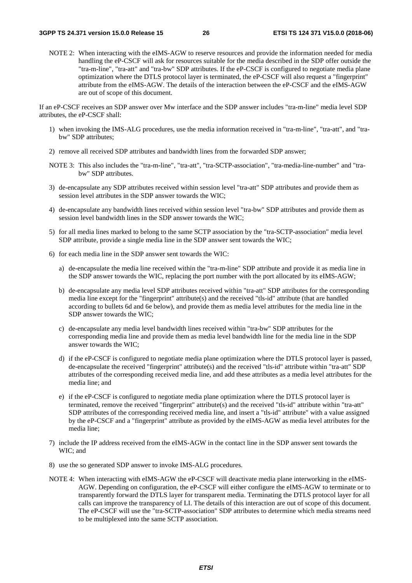NOTE 2: When interacting with the eIMS-AGW to reserve resources and provide the information needed for media handling the eP-CSCF will ask for resources suitable for the media described in the SDP offer outside the "tra-m-line", "tra-att" and "tra-bw" SDP attributes. If the eP-CSCF is configured to negotiate media plane optimization where the DTLS protocol layer is terminated, the eP-CSCF will also request a "fingerprint" attribute from the eIMS-AGW. The details of the interaction between the eP-CSCF and the eIMS-AGW are out of scope of this document.

If an eP-CSCF receives an SDP answer over Mw interface and the SDP answer includes "tra-m-line" media level SDP attributes, the eP-CSCF shall:

- 1) when invoking the IMS-ALG procedures, use the media information received in "tra-m-line", "tra-att", and "trabw" SDP attributes;
- 2) remove all received SDP attributes and bandwidth lines from the forwarded SDP answer;
- NOTE 3: This also includes the "tra-m-line", "tra-att", "tra-SCTP-association", "tra-media-line-number" and "trabw" SDP attributes.
- 3) de-encapsulate any SDP attributes received within session level "tra-att" SDP attributes and provide them as session level attributes in the SDP answer towards the WIC;
- 4) de-encapsulate any bandwidth lines received within session level "tra-bw" SDP attributes and provide them as session level bandwidth lines in the SDP answer towards the WIC;
- 5) for all media lines marked to belong to the same SCTP association by the "tra-SCTP-association" media level SDP attribute, provide a single media line in the SDP answer sent towards the WIC;
- 6) for each media line in the SDP answer sent towards the WIC:
	- a) de-encapsulate the media line received within the "tra-m-line" SDP attribute and provide it as media line in the SDP answer towards the WIC, replacing the port number with the port allocated by its eIMS-AGW;
	- b) de-encapsulate any media level SDP attributes received within "tra-att" SDP attributes for the corresponding media line except for the "fingerprint" attribute(s) and the received "tls-id" attribute (that are handled according to bullets 6d and 6e below), and provide them as media level attributes for the media line in the SDP answer towards the WIC;
	- c) de-encapsulate any media level bandwidth lines received within "tra-bw" SDP attributes for the corresponding media line and provide them as media level bandwidth line for the media line in the SDP answer towards the WIC;
	- d) if the eP-CSCF is configured to negotiate media plane optimization where the DTLS protocol layer is passed, de-encapsulate the received "fingerprint" attribute(s) and the received "tls-id" attribute within "tra-att" SDP attributes of the corresponding received media line, and add these attributes as a media level attributes for the media line; and
	- e) if the eP-CSCF is configured to negotiate media plane optimization where the DTLS protocol layer is terminated, remove the received "fingerprint" attribute(s) and the received "tls-id" attribute within "tra-att" SDP attributes of the corresponding received media line, and insert a "tls-id" attribute" with a value assigned by the eP-CSCF and a "fingerprint" attribute as provided by the eIMS-AGW as media level attributes for the media line;
- 7) include the IP address received from the eIMS-AGW in the contact line in the SDP answer sent towards the WIC; and
- 8) use the so generated SDP answer to invoke IMS-ALG procedures.
- NOTE 4: When interacting with eIMS-AGW the eP-CSCF will deactivate media plane interworking in the eIMS-AGW. Depending on configuration, the eP-CSCF will either configure the eIMS-AGW to terminate or to transparently forward the DTLS layer for transparent media. Terminating the DTLS protocol layer for all calls can improve the transparency of LI. The details of this interaction are out of scope of this document. The eP-CSCF will use the "tra-SCTP-association" SDP attributes to determine which media streams need to be multiplexed into the same SCTP association.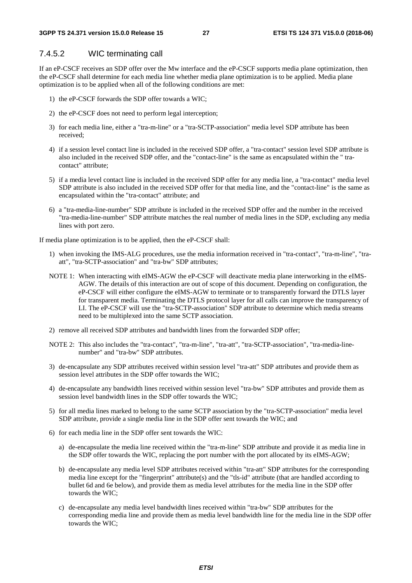#### 7.4.5.2 WIC terminating call

If an eP-CSCF receives an SDP offer over the Mw interface and the eP-CSCF supports media plane optimization, then the eP-CSCF shall determine for each media line whether media plane optimization is to be applied. Media plane optimization is to be applied when all of the following conditions are met:

- 1) the eP-CSCF forwards the SDP offer towards a WIC;
- 2) the eP-CSCF does not need to perform legal interception;
- 3) for each media line, either a "tra-m-line" or a "tra-SCTP-association" media level SDP attribute has been received;
- 4) if a session level contact line is included in the received SDP offer, a "tra-contact" session level SDP attribute is also included in the received SDP offer, and the "contact-line" is the same as encapsulated within the " tracontact" attribute;
- 5) if a media level contact line is included in the received SDP offer for any media line, a "tra-contact" media level SDP attribute is also included in the received SDP offer for that media line, and the "contact-line" is the same as encapsulated within the "tra-contact" attribute; and
- 6) a "tra-media-line-number" SDP attribute is included in the received SDP offer and the number in the received "tra-media-line-number" SDP attribute matches the real number of media lines in the SDP, excluding any media lines with port zero.

If media plane optimization is to be applied, then the eP-CSCF shall:

- 1) when invoking the IMS-ALG procedures, use the media information received in "tra-contact", "tra-m-line", "traatt", "tra-SCTP-association" and "tra-bw" SDP attributes;
- NOTE 1: When interacting with eIMS-AGW the eP-CSCF will deactivate media plane interworking in the eIMS-AGW. The details of this interaction are out of scope of this document. Depending on configuration, the eP-CSCF will either configure the eIMS-AGW to terminate or to transparently forward the DTLS layer for transparent media. Terminating the DTLS protocol layer for all calls can improve the transparency of LI. The eP-CSCF will use the "tra-SCTP-association" SDP attribute to determine which media streams need to be multiplexed into the same SCTP association.
- 2) remove all received SDP attributes and bandwidth lines from the forwarded SDP offer;
- NOTE 2: This also includes the "tra-contact", "tra-m-line", "tra-att", "tra-SCTP-association", "tra-media-linenumber" and "tra-bw" SDP attributes.
- 3) de-encapsulate any SDP attributes received within session level "tra-att" SDP attributes and provide them as session level attributes in the SDP offer towards the WIC;
- 4) de-encapsulate any bandwidth lines received within session level "tra-bw" SDP attributes and provide them as session level bandwidth lines in the SDP offer towards the WIC;
- 5) for all media lines marked to belong to the same SCTP association by the "tra-SCTP-association" media level SDP attribute, provide a single media line in the SDP offer sent towards the WIC; and
- 6) for each media line in the SDP offer sent towards the WIC:
	- a) de-encapsulate the media line received within the "tra-m-line" SDP attribute and provide it as media line in the SDP offer towards the WIC, replacing the port number with the port allocated by its eIMS-AGW;
	- b) de-encapsulate any media level SDP attributes received within "tra-att" SDP attributes for the corresponding media line except for the "fingerprint" attribute(s) and the "tls-id" attribute (that are handled according to bullet 6d and 6e below), and provide them as media level attributes for the media line in the SDP offer towards the WIC;
	- c) de-encapsulate any media level bandwidth lines received within "tra-bw" SDP attributes for the corresponding media line and provide them as media level bandwidth line for the media line in the SDP offer towards the WIC;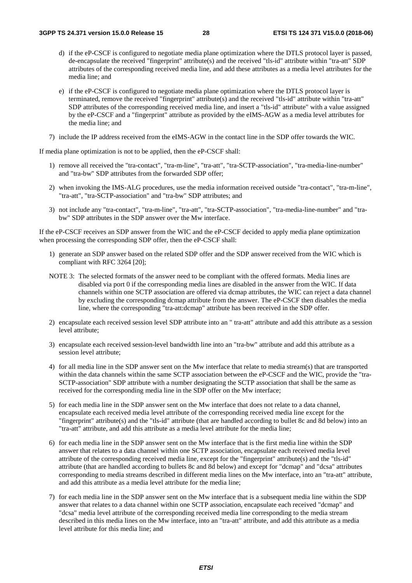- d) if the eP-CSCF is configured to negotiate media plane optimization where the DTLS protocol layer is passed, de-encapsulate the received "fingerprint" attribute(s) and the received "tls-id" attribute within "tra-att" SDP attributes of the corresponding received media line, and add these attributes as a media level attributes for the media line; and
- e) if the eP-CSCF is configured to negotiate media plane optimization where the DTLS protocol layer is terminated, remove the received "fingerprint" attribute(s) and the received "tls-id" attribute within "tra-att" SDP attributes of the corresponding received media line, and insert a "tls-id" attribute" with a value assigned by the eP-CSCF and a "fingerprint" attribute as provided by the eIMS-AGW as a media level attributes for the media line; and
- 7) include the IP address received from the eIMS-AGW in the contact line in the SDP offer towards the WIC.

If media plane optimization is not to be applied, then the eP-CSCF shall:

- 1) remove all received the "tra-contact", "tra-m-line", "tra-att", "tra-SCTP-association", "tra-media-line-number" and "tra-bw" SDP attributes from the forwarded SDP offer;
- 2) when invoking the IMS-ALG procedures, use the media information received outside "tra-contact", "tra-m-line", "tra-att", "tra-SCTP-association" and "tra-bw" SDP attributes; and
- 3) not include any "tra-contact", "tra-m-line", "tra-att", "tra-SCTP-association", "tra-media-line-number" and "trabw" SDP attributes in the SDP answer over the Mw interface.

If the eP-CSCF receives an SDP answer from the WIC and the eP-CSCF decided to apply media plane optimization when processing the corresponding SDP offer, then the eP-CSCF shall:

- 1) generate an SDP answer based on the related SDP offer and the SDP answer received from the WIC which is compliant with RFC 3264 [20];
- NOTE 3: The selected formats of the answer need to be compliant with the offered formats. Media lines are disabled via port 0 if the corresponding media lines are disabled in the answer from the WIC. If data channels within one SCTP association are offered via dcmap attributes, the WIC can reject a data channel by excluding the corresponding dcmap attribute from the answer. The eP-CSCF then disables the media line, where the corresponding "tra-att:dcmap" attribute has been received in the SDP offer.
- 2) encapsulate each received session level SDP attribute into an " tra-att" attribute and add this attribute as a session level attribute;
- 3) encapsulate each received session-level bandwidth line into an "tra-bw" attribute and add this attribute as a session level attribute:
- 4) for all media line in the SDP answer sent on the Mw interface that relate to media stream(s) that are transported within the data channels within the same SCTP association between the eP-CSCF and the WIC, provide the "tra-SCTP-association" SDP attribute with a number designating the SCTP association that shall be the same as received for the corresponding media line in the SDP offer on the Mw interface;
- 5) for each media line in the SDP answer sent on the Mw interface that does not relate to a data channel, encapsulate each received media level attribute of the corresponding received media line except for the "fingerprint" attribute(s) and the "tls-id" attribute (that are handled according to bullet 8c and 8d below) into an "tra-att" attribute, and add this attribute as a media level attribute for the media line;
- 6) for each media line in the SDP answer sent on the Mw interface that is the first media line within the SDP answer that relates to a data channel within one SCTP association, encapsulate each received media level attribute of the corresponding received media line, except for the "fingerprint" attribute(s) and the "tls-id" attribute (that are handled according to bullets 8c and 8d below) and except for "dcmap" and "dcsa" attributes corresponding to media streams described in different media lines on the Mw interface, into an "tra-att" attribute, and add this attribute as a media level attribute for the media line;
- 7) for each media line in the SDP answer sent on the Mw interface that is a subsequent media line within the SDP answer that relates to a data channel within one SCTP association, encapsulate each received "dcmap" and "dcsa" media level attribute of the corresponding received media line corresponding to the media stream described in this media lines on the Mw interface, into an "tra-att" attribute, and add this attribute as a media level attribute for this media line; and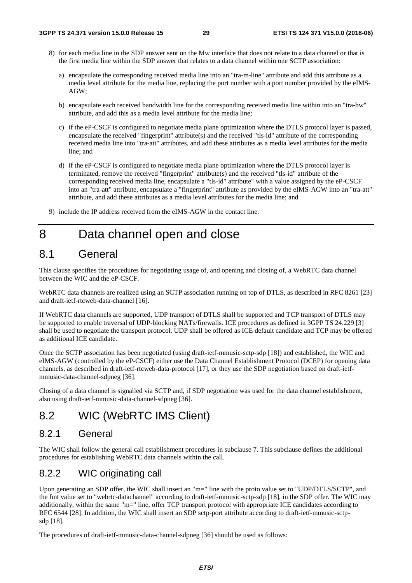- 8) for each media line in the SDP answer sent on the Mw interface that does not relate to a data channel or that is the first media line within the SDP answer that relates to a data channel within one SCTP association:
	- a) encapsulate the corresponding received media line into an "tra-m-line" attribute and add this attribute as a media level attribute for the media line, replacing the port number with a port number provided by the eIMS-AGW;
	- b) encapsulate each received bandwidth line for the corresponding received media line within into an "tra-bw" attribute, and add this as a media level attribute for the media line;
	- c) if the eP-CSCF is configured to negotiate media plane optimization where the DTLS protocol layer is passed, encapsulate the received "fingerprint" attribute(s) and the received "tls-id" attribute of the corresponding received media line into "tra-att" attributes, and add these attributes as a media level attributes for the media line; and
	- d) if the eP-CSCF is configured to negotiate media plane optimization where the DTLS protocol layer is terminated, remove the received "fingerprint" attribute(s) and the received "tls-id" attribute of the corresponding received media line, encapsulate a "tls-id" attribute" with a value assigned by the eP-CSCF into an "tra-att" attribute, encapsulate a "fingerprint" attribute as provided by the eIMS-AGW into an "tra-att" attribute, and add these attributes as a media level attributes for the media line; and
- 9) include the IP address received from the eIMS-AGW in the contact line.

## 8 Data channel open and close

### 8.1 General

This clause specifies the procedures for negotiating usage of, and opening and closing of, a WebRTC data channel between the WIC and the eP-CSCF.

WebRTC data channels are realized using an SCTP association running on top of DTLS, as described in RFC 8261 [23] and draft-ietf-rtcweb-data-channel [16].

If WebRTC data channels are supported, UDP transport of DTLS shall be supported and TCP transport of DTLS may be supported to enable traversal of UDP-blocking NATs/firewalls. ICE procedures as defined in 3GPP TS 24.229 [3] shall be used to negotiate the transport protocol. UDP shall be offered as ICE default candidate and TCP may be offered as additional ICE candidate.

Once the SCTP association has been negotiated (using draft-ietf-mmusic-sctp-sdp [18]) and established, the WIC and eIMS-AGW (controlled by the eP-CSCF) either use the Data Channel Establishment Protocol (DCEP) for opening data channels, as described in draft-ietf-rtcweb-data-protocol [17], or they use the SDP negotiation based on draft-ietfmmusic-data-channel-sdpneg [36].

Closing of a data channel is signalled via SCTP and, if SDP negotiation was used for the data channel establishment, also using draft-ietf-mmusic-data-channel-sdpneg [36].

### 8.2 WIC (WebRTC IMS Client)

### 8.2.1 General

The WIC shall follow the general call establishment procedures in subclause 7. This subclause defines the additional procedures for establishing WebRTC data channels within the call.

### 8.2.2 WIC originating call

Upon generating an SDP offer, the WIC shall insert an "m=" line with the proto value set to "UDP/DTLS/SCTP", and the fmt value set to "webrtc-datachannel" according to draft-ietf-mmusic-sctp-sdp [18], in the SDP offer. The WIC may additionally, within the same "m=" line, offer TCP transport protocol with appropriate ICE candidates according to RFC 6544 [28]. In addition, the WIC shall insert an SDP sctp-port attribute according to draft-ietf-mmusic-sctpsdp [18].

The procedures of draft-ietf-mmusic-data-channel-sdpneg [36] should be used as follows: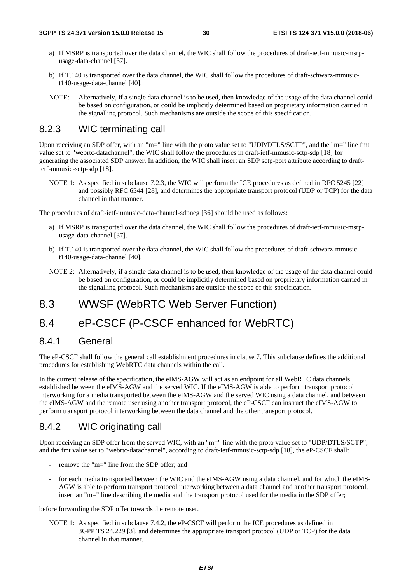- a) If MSRP is transported over the data channel, the WIC shall follow the procedures of draft-ietf-mmusic-msrpusage-data-channel [37].
- b) If T.140 is transported over the data channel, the WIC shall follow the procedures of draft-schwarz-mmusict140-usage-data-channel [40].
- NOTE: Alternatively, if a single data channel is to be used, then knowledge of the usage of the data channel could be based on configuration, or could be implicitly determined based on proprietary information carried in the signalling protocol. Such mechanisms are outside the scope of this specification.

### 8.2.3 WIC terminating call

Upon receiving an SDP offer, with an "m=" line with the proto value set to "UDP/DTLS/SCTP", and the "m=" line fmt value set to "webrtc-datachannel", the WIC shall follow the procedures in draft-ietf-mmusic-sctp-sdp [18] for generating the associated SDP answer. In addition, the WIC shall insert an SDP sctp-port attribute according to draftietf-mmusic-sctp-sdp [18].

NOTE 1: As specified in subclause 7.2.3, the WIC will perform the ICE procedures as defined in RFC 5245 [22] and possibly RFC 6544 [28], and determines the appropriate transport protocol (UDP or TCP) for the data channel in that manner.

The procedures of draft-ietf-mmusic-data-channel-sdpneg [36] should be used as follows:

- a) If MSRP is transported over the data channel, the WIC shall follow the procedures of draft-ietf-mmusic-msrpusage-data-channel [37].
- b) If T.140 is transported over the data channel, the WIC shall follow the procedures of draft-schwarz-mmusict140-usage-data-channel [40].
- NOTE 2: Alternatively, if a single data channel is to be used, then knowledge of the usage of the data channel could be based on configuration, or could be implicitly determined based on proprietary information carried in the signalling protocol. Such mechanisms are outside the scope of this specification.

### 8.3 WWSF (WebRTC Web Server Function)

### 8.4 eP-CSCF (P-CSCF enhanced for WebRTC)

### 8.4.1 General

The eP-CSCF shall follow the general call establishment procedures in clause 7. This subclause defines the additional procedures for establishing WebRTC data channels within the call.

In the current release of the specification, the eIMS-AGW will act as an endpoint for all WebRTC data channels established between the eIMS-AGW and the served WIC. If the eIMS-AGW is able to perform transport protocol interworking for a media transported between the eIMS-AGW and the served WIC using a data channel, and between the eIMS-AGW and the remote user using another transport protocol, the eP-CSCF can instruct the eIMS-AGW to perform transport protocol interworking between the data channel and the other transport protocol.

### 8.4.2 WIC originating call

Upon receiving an SDP offer from the served WIC, with an "m=" line with the proto value set to "UDP/DTLS/SCTP", and the fmt value set to "webrtc-datachannel", according to draft-ietf-mmusic-sctp-sdp [18], the eP-CSCF shall:

- remove the "m=" line from the SDP offer; and
- for each media transported between the WIC and the eIMS-AGW using a data channel, and for which the eIMS-AGW is able to perform transport protocol interworking between a data channel and another transport protocol, insert an "m=" line describing the media and the transport protocol used for the media in the SDP offer;

before forwarding the SDP offer towards the remote user.

NOTE 1: As specified in subclause 7.4.2, the eP-CSCF will perform the ICE procedures as defined in 3GPP TS 24.229 [3], and determines the appropriate transport protocol (UDP or TCP) for the data channel in that manner.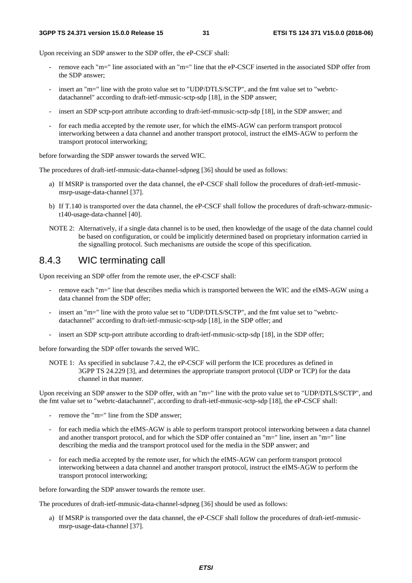Upon receiving an SDP answer to the SDP offer, the eP-CSCF shall:

- remove each "m=" line associated with an "m=" line that the eP-CSCF inserted in the associated SDP offer from the SDP answer;
- insert an "m=" line with the proto value set to "UDP/DTLS/SCTP", and the fmt value set to "webrtcdatachannel" according to draft-ietf-mmusic-sctp-sdp [18], in the SDP answer;
- insert an SDP sctp-port attribute according to draft-ietf-mmusic-sctp-sdp [18], in the SDP answer; and
- for each media accepted by the remote user, for which the eIMS-AGW can perform transport protocol interworking between a data channel and another transport protocol, instruct the eIMS-AGW to perform the transport protocol interworking;

before forwarding the SDP answer towards the served WIC.

The procedures of draft-ietf-mmusic-data-channel-sdpneg [36] should be used as follows:

- a) If MSRP is transported over the data channel, the eP-CSCF shall follow the procedures of draft-ietf-mmusicmsrp-usage-data-channel [37].
- b) If T.140 is transported over the data channel, the eP-CSCF shall follow the procedures of draft-schwarz-mmusict140-usage-data-channel [40].
- NOTE 2: Alternatively, if a single data channel is to be used, then knowledge of the usage of the data channel could be based on configuration, or could be implicitly determined based on proprietary information carried in the signalling protocol. Such mechanisms are outside the scope of this specification.

### 8.4.3 WIC terminating call

Upon receiving an SDP offer from the remote user, the eP-CSCF shall:

- remove each "m=" line that describes media which is transported between the WIC and the eIMS-AGW using a data channel from the SDP offer;
- insert an "m=" line with the proto value set to "UDP/DTLS/SCTP", and the fmt value set to "webrtcdatachannel" according to draft-ietf-mmusic-sctp-sdp [18], in the SDP offer; and
- insert an SDP sctp-port attribute according to draft-ietf-mmusic-sctp-sdp [18], in the SDP offer;

before forwarding the SDP offer towards the served WIC.

NOTE 1: As specified in subclause 7.4.2, the eP-CSCF will perform the ICE procedures as defined in 3GPP TS 24.229 [3], and determines the appropriate transport protocol (UDP or TCP) for the data channel in that manner.

Upon receiving an SDP answer to the SDP offer, with an "m=" line with the proto value set to "UDP/DTLS/SCTP", and the fmt value set to "webrtc-datachannel", according to draft-ietf-mmusic-sctp-sdp [18], the eP-CSCF shall:

- remove the "m=" line from the SDP answer;
- for each media which the eIMS-AGW is able to perform transport protocol interworking between a data channel and another transport protocol, and for which the SDP offer contained an "m=" line, insert an "m=" line describing the media and the transport protocol used for the media in the SDP answer; and
- for each media accepted by the remote user, for which the eIMS-AGW can perform transport protocol interworking between a data channel and another transport protocol, instruct the eIMS-AGW to perform the transport protocol interworking;

before forwarding the SDP answer towards the remote user.

The procedures of draft-ietf-mmusic-data-channel-sdpneg [36] should be used as follows:

a) If MSRP is transported over the data channel, the eP-CSCF shall follow the procedures of draft-ietf-mmusicmsrp-usage-data-channel [37].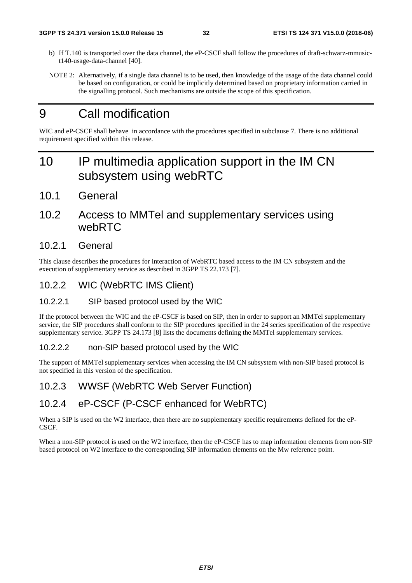- b) If T.140 is transported over the data channel, the eP-CSCF shall follow the procedures of draft-schwarz-mmusict140-usage-data-channel [40].
- NOTE 2: Alternatively, if a single data channel is to be used, then knowledge of the usage of the data channel could be based on configuration, or could be implicitly determined based on proprietary information carried in the signalling protocol. Such mechanisms are outside the scope of this specification.

## 9 Call modification

WIC and eP-CSCF shall behave in accordance with the procedures specified in subclause 7. There is no additional requirement specified within this release.

## 10 IP multimedia application support in the IM CN subsystem using webRTC

10.1 General

### 10.2 Access to MMTel and supplementary services using webRTC

### 10.2.1 General

This clause describes the procedures for interaction of WebRTC based access to the IM CN subsystem and the execution of supplementary service as described in 3GPP TS 22.173 [7].

10.2.2 WIC (WebRTC IMS Client)

#### 10.2.2.1 SIP based protocol used by the WIC

If the protocol between the WIC and the eP-CSCF is based on SIP, then in order to support an MMTel supplementary service, the SIP procedures shall conform to the SIP procedures specified in the 24 series specification of the respective supplementary service. 3GPP TS 24.173 [8] lists the documents defining the MMTel supplementary services.

#### 10.2.2.2 non-SIP based protocol used by the WIC

The support of MMTel supplementary services when accessing the IM CN subsystem with non-SIP based protocol is not specified in this version of the specification.

### 10.2.3 WWSF (WebRTC Web Server Function)

### 10.2.4 eP-CSCF (P-CSCF enhanced for WebRTC)

When a SIP is used on the W2 interface, then there are no supplementary specific requirements defined for the eP-CSCF.

When a non-SIP protocol is used on the W2 interface, then the eP-CSCF has to map information elements from non-SIP based protocol on W2 interface to the corresponding SIP information elements on the Mw reference point.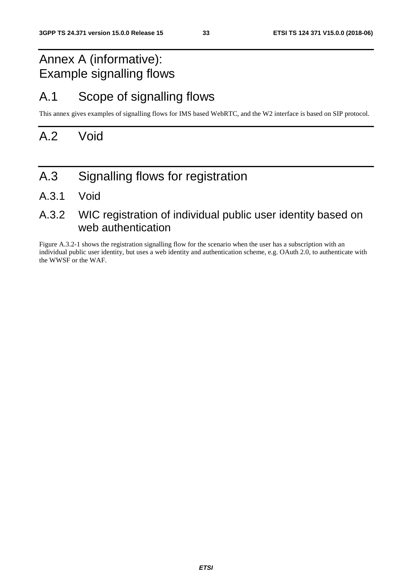## Annex A (informative): Example signalling flows

## A.1 Scope of signalling flows

This annex gives examples of signalling flows for IMS based WebRTC, and the W2 interface is based on SIP protocol.

## A.2 Void

- A.3 Signalling flows for registration
- A.3.1 Void

### A.3.2 WIC registration of individual public user identity based on web authentication

Figure A.3.2-1 shows the registration signalling flow for the scenario when the user has a subscription with an individual public user identity, but uses a web identity and authentication scheme, e.g. OAuth 2.0, to authenticate with the WWSF or the WAF.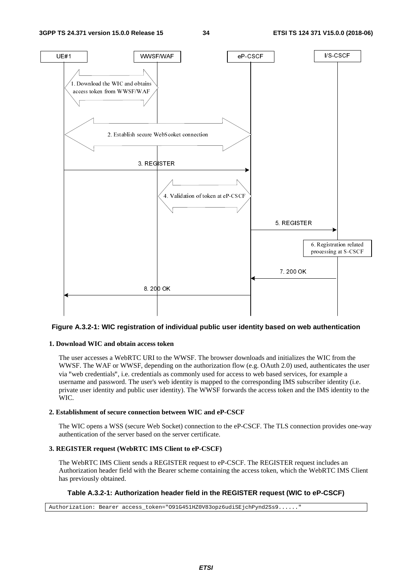

#### **Figure A.3.2-1: WIC registration of individual public user identity based on web authentication**

#### **1. Download WIC and obtain access token**

The user accesses a WebRTC URI to the WWSF. The browser downloads and initializes the WIC from the WWSF. The WAF or WWSF, depending on the authorization flow (e.g. OAuth 2.0) used, authenticates the user via "web credentials", i.e. credentials as commonly used for access to web based services, for example a "web credentials", i.e. credentials as commonly used for access to web based services, for example a<br>rname and password. The user's web identity is mapped to the corresponding IMS subscriber identity<br>ate user identity and username and password. The user's web identity is mapped to the corresponding IMS subscriber identity (i.e. private user identity and public user identity). The WWSF forwards the access token and the IMS identity to the WIC.

#### **2. Establishment of secure connection between WIC and eP-CSCF**

The WIC opens a WSS (secure Web Socket) connection to the eP-CSCF. The TLS connection provides one-way authentication of the server based on the server certificate.

#### **3. REGISTER request (WebRTC IMS Client to eP-CSCF)**

The WebRTC IMS Client sends a REGISTER request to eP-CSCF. The REGISTER request includes an Authorization header field with the Bearer scheme containing the access token, which the WebRTC IMS Client has previously obtained.

#### **Table A.3.2-1: Authorization header field in the REGISTER request (WIC to eP-CSCF)**

Authorization: Bearer access\_token="091G451HZ0V83opz6udiSEjchPynd2Ss9.....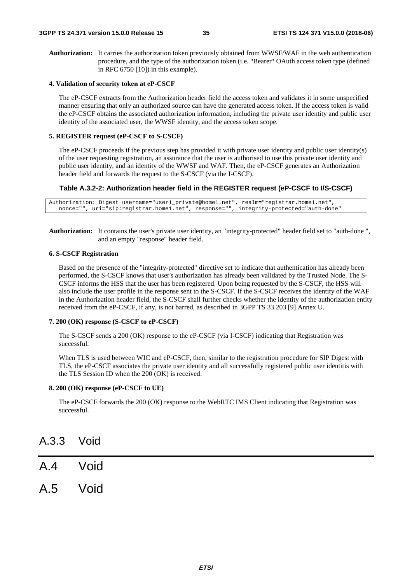**Authorization:** It carries the authorization token previously obtained from WWSF/WAF in the web authentication procedure, and the type of the authorization token (i.e. "Bearer" OAuth access token type (defined<br>in RFC 6750 [10]) in this example). in RFC 6750 [10]) in this example).

#### **4. Validation of security token at eP-CSCF**

The eP-CSCF extracts from the Authorization header field the access token and validates it in some unspecified manner ensuring that only an authorized source can have the generated access token. If the access token is valid the eP-CSCF obtains the associated authorization information, including the private user identity and public user identity of the associated user, the WWSF identity, and the access token scope.

#### **5. REGISTER request (eP-CSCF to S-CSCF)**

The eP-CSCF proceeds if the previous step has provided it with private user identity and public user identity(s) of the user requesting registration, an assurance that the user is authorised to use this private user identity and public user identity, and an identity of the WWSF and WAF. Then, the eP-CSCF generates an Authorization header field and forwards the request to the S-CSCF (via the I-CSCF).

#### **Table A.3.2-2: Authorization header field in the REGISTER request (eP-CSCF to I/S-CSCF)**

```
Authorization: Digest username="user1_private@home1.net", realm="registrar.home1.net", 
nonce="", uri="sip:registrar.home1.net", response="", integrity-protected="auth-done"
```
**Authorization:** It contains the user's private user identity, an "integrity-protected" header field set to "auth-done ", and an empty "response" header field.

#### **6. S-CSCF Registration**

Based on the presence of the "integrity-protected" directive set to indicate that authentication has already been performed, the S-CSCF knows that user's authorization has already been validated by the Trusted Node. The S-CSCF informs the HSS that the user has been registered. Upon being requested by the S-CSCF, the HSS will also include the user profile in the response sent to the S-CSCF. If the S-CSCF receives the identity of the WAF in the Authorization header field, the S-CSCF shall further checks whether the identity of the authorization entity received from the eP-CSCF, if any, is not barred, as described in 3GPP TS 33.203 [9] Annex U.

#### **7. 200 (OK) response (S-CSCF to eP-CSCF)**

The S-CSCF sends a 200 (OK) response to the eP-CSCF (via I-CSCF) indicating that Registration was successful.

When TLS is used between WIC and eP-CSCF, then, similar to the registration procedure for SIP Digest with TLS, the eP-CSCF associates the private user identity and all successfully registered public user identitis with the TLS Session ID when the 200 (OK) is received.

#### **8. 200 (OK) response (eP-CSCF to UE)**

The eP-CSCF forwards the 200 (OK) response to the WebRTC IMS Client indicating that Registration was successful.

### A.3.3 Void

- A.4 Void
- A.5 Void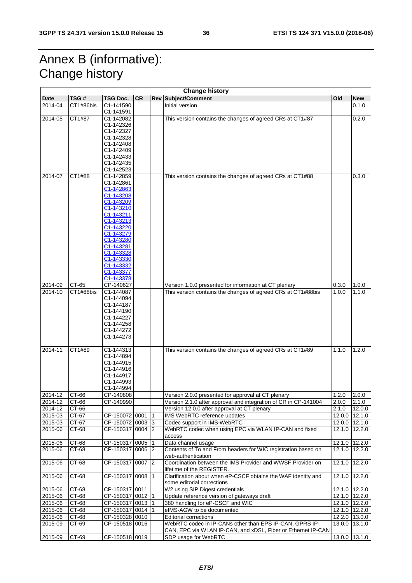## Annex B (informative): Change history

| <b>Change history</b> |           |                        |           |           |                                                                 |       |               |
|-----------------------|-----------|------------------------|-----------|-----------|-----------------------------------------------------------------|-------|---------------|
| Date                  | TSG#      | <b>TSG Doc.</b>        | <b>CR</b> |           | <b>Rev Subject/Comment</b>                                      | Old   | <b>New</b>    |
| 2014-04               | CT1#86bis | C1-141590<br>C1-141591 |           |           | Initial version                                                 |       | 0.1.0         |
| 2014-05               | CT1#87    | C1-142082              |           |           | This version contains the changes of agreed CRs at CT1#87       |       | 0.2.0         |
|                       |           | C1-142326              |           |           |                                                                 |       |               |
|                       |           | C1-142327              |           |           |                                                                 |       |               |
|                       |           | C1-142328              |           |           |                                                                 |       |               |
|                       |           | C1-142408              |           |           |                                                                 |       |               |
|                       |           | C1-142409              |           |           |                                                                 |       |               |
|                       |           | C1-142433              |           |           |                                                                 |       |               |
|                       |           | C1-142435              |           |           |                                                                 |       |               |
|                       |           | C1-142523              |           |           |                                                                 |       |               |
| 2014-07               | CT1#88    | C1-142859              |           |           | This version contains the changes of agreed CRs at CT1#88       |       | 0.3.0         |
|                       |           | C1-142861              |           |           |                                                                 |       |               |
|                       |           | C1-142863              |           |           |                                                                 |       |               |
|                       |           | C1-143208              |           |           |                                                                 |       |               |
|                       |           | C1-143209              |           |           |                                                                 |       |               |
|                       |           | C1-143210              |           |           |                                                                 |       |               |
|                       |           | C1-143211              |           |           |                                                                 |       |               |
|                       |           | C1-143213              |           |           |                                                                 |       |               |
|                       |           | C1-143220<br>C1-143279 |           |           |                                                                 |       |               |
|                       |           | C1-143280              |           |           |                                                                 |       |               |
|                       |           | C1-143281              |           |           |                                                                 |       |               |
|                       |           | C1-143328              |           |           |                                                                 |       |               |
|                       |           | C1-143330              |           |           |                                                                 |       |               |
|                       |           | C <sub>1</sub> -143332 |           |           |                                                                 |       |               |
|                       |           | C1-143377              |           |           |                                                                 |       |               |
|                       |           | C1-143378              |           |           |                                                                 |       |               |
| 2014-09               | CT-65     | CP-140627              |           |           | Version 1.0.0 presented for information at CT plenary           | 0.3.0 | 1.0.0         |
| 2014-10               | CT1#88bis | C1-144087              |           |           | This version contains the changes of agreed CRs at CT1#88bis    | 1.0.0 | 1.1.0         |
|                       |           | C1-144094              |           |           |                                                                 |       |               |
|                       |           | C1-144187              |           |           |                                                                 |       |               |
|                       |           | C1-144190              |           |           |                                                                 |       |               |
|                       |           | C1-144227              |           |           |                                                                 |       |               |
|                       |           | C1-144258              |           |           |                                                                 |       |               |
|                       |           | C1-144272              |           |           |                                                                 |       |               |
|                       |           | C1-144273              |           |           |                                                                 |       |               |
|                       |           |                        |           |           |                                                                 |       |               |
| 2014-11               | CT1#89    | C1-144313              |           |           | This version contains the changes of agreed CRs at CT1#89       | 1.1.0 | 1.2.0         |
|                       |           | C1-144894              |           |           |                                                                 |       |               |
|                       |           | C1-144915<br>C1-144916 |           |           |                                                                 |       |               |
|                       |           | C1-144917              |           |           |                                                                 |       |               |
|                       |           | C1-144993              |           |           |                                                                 |       |               |
|                       |           | C1-144994              |           |           |                                                                 |       |               |
| 2014-12               | CT-66     | CP-140808              |           |           | Version 2.0.0 presented for approval at CT plenary              | 1.2.0 | 2.0.0         |
| 2014-12               | CT-66     | CP-140990              |           |           | Version 2.1.0 after approval and integration of CR in CP-141004 | 2.0.0 | 2.1.0         |
| 2014-12               | CT-66     |                        |           |           | Version 12.0.0 after approval at CT plenary                     | 2.1.0 | 12.0.0        |
| 2015-03               | CT-67     | CP-150072 0001         |           | $\vert$ 1 | IMS WebRTC reference updates                                    |       | 12.0.0 12.1.0 |
| 2015-03               | CT-67     | CP-150072 0003 3       |           |           | Codec support in IMS-WebRTC                                     |       | 12.0.0 12.1.0 |
| 2015-06               | CT-68     | CP-150317 0004 2       |           |           | WebRTC codec when using EPC via WLAN IP-CAN and fixed           |       | 12.1.0 12.2.0 |
|                       |           |                        |           |           | access                                                          |       |               |
| $2015 - 06$           | CT-68     | CP-150317 0005 1       |           |           | Data channel usage                                              |       | 12.1.0 12.2.0 |
| 2015-06               | CT-68     | CP-150317 0006 2       |           |           | Contents of To and From headers for WIC registration based on   |       | 12.1.0 12.2.0 |
|                       |           |                        |           |           | web-authentication                                              |       |               |
| 2015-06               | CT-68     | CP-150317 0007 2       |           |           | Coordination between the IMS Provider and WWSF Provider on      |       | 12.1.0 12.2.0 |
|                       |           |                        |           |           | lifetime of the REGISTER.                                       |       |               |
| 2015-06               | CT-68     | CP-150317 0008 1       |           |           | Clarification about when eP-CSCF obtains the WAF identity and   |       | 12.1.0 12.2.0 |
|                       |           |                        |           |           | some editorial corrections                                      |       |               |
| 2015-06               | CT-68     | CP-150317 0011         |           |           | W2 using SIP Digest credentials                                 |       | 12.1.0 12.2.0 |
| 2015-06               | $CT-68$   | CP-150317 0012 1       |           |           | Update reference version of gateways draft                      |       | 12.1.0 12.2.0 |
| 2015-06               | CT-68     | CP-150317 0013 1       |           |           | 380 handling for eP-CSCF and WIC                                |       | 12.1.0 12.2.0 |
|                       |           |                        |           |           |                                                                 |       |               |
| 2015-06               | CT-68     | CP-150317 0014 1       |           |           | eIMS-AGW to be documented                                       |       | 12.1.0 12.2.0 |
| 2015-06               | CT-68     | CP-150328 0010         |           |           | <b>Editorial corrections</b>                                    |       | 12.2.0 13.0.0 |
| 2015-09               | CT-69     | CP-150518 0016         |           |           | WebRTC codec in IP-CANs other than EPS IP-CAN, GPRS IP-         |       | 13.0.0 13.1.0 |
|                       |           | CP-150518 0019         |           |           | CAN, EPC via WLAN IP-CAN, and xDSL, Fiber or Ethernet IP-CAN    |       |               |
| 2015-09               | CT-69     |                        |           |           | SDP usage for WebRTC                                            |       | 13.0.0 13.1.0 |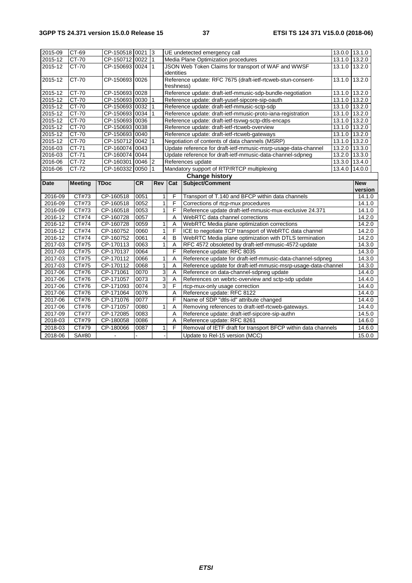| 2015-09     | CT-69          | CP-150518 0021 3 |           |              |                | UE undetected emergency call                                   |               | 13.0.0 13.1.0         |
|-------------|----------------|------------------|-----------|--------------|----------------|----------------------------------------------------------------|---------------|-----------------------|
| 2015-12     | CT-70          | CP-150712 0022 1 |           |              |                | Media Plane Optimization procedures                            |               | 13.1.0 13.2.0         |
| 2015-12     | CT-70          | CP-150693 0024 1 |           |              | identities     | JSON Web Token Claims for transport of WAF and WWSF            | 13.1.0        | 13.2.0                |
| 2015-12     | CT-70          | CP-150693 0026   |           |              | freshness)     | Reference update: RFC 7675 (draft-ietf-rtcweb-stun-consent-    | 13.1.0        | 13.2.0                |
| 2015-12     | CT-70          | CP-150693 0028   |           |              |                | Reference update: draft-ietf-mmusic-sdp-bundle-negotiation     | 13.1.0 13.2.0 |                       |
| 2015-12     | CT-70          | CP-150693 0030 1 |           |              |                | Reference update: draft-yusef-sipcore-sip-oauth                |               | 13.1.0 13.2.0         |
| 2015-12     | CT-70          | CP-150693 0032   |           | 1            |                | Reference update: draft-ietf-mmusic-sctp-sdp                   |               | 13.1.0 13.2.0         |
| $2015 - 12$ | CT-70          | CP-150693 0034   |           | 1            |                | Reference update: draft-ietf-mmusic-proto-iana-registration    |               | 13.1.0 13.2.0         |
| 2015-12     | CT-70          | CP-150693 0036   |           |              |                | Reference update: draft-ietf-tsvwg-sctp-dtls-encaps            |               | 13.1.0 13.2.0         |
| 2015-12     | CT-70          | CP-150693 0038   |           |              |                | Reference update: draft-ietf-rtcweb-overview                   |               | 13.1.0 13.2.0         |
| 2015-12     | $CT-70$        | CP-150693 0040   |           |              |                | Reference update: draft-ietf-rtcweb-gateways                   |               | 13.1.0 13.2.0         |
| 2015-12     | $CT-70$        | CP-150712 0042   |           | $\mathbf{1}$ |                | Negotiation of contents of data channels (MSRP)                |               | 13.1.0 13.2.0         |
| 2016-03     | CT-71          | CP-160074 0043   |           |              |                | Update reference for draft-ietf-mmusic-msrp-usage-data-channel | 13.2.0        | 13.3.0                |
| 2016-03     | CT-71          | CP-160074 0044   |           |              |                | Update reference for draft-ietf-mmusic-data-channel-sdpneg     | 13.2.0        | 13.3.0                |
| 2016-06     | CT-72          | CP-160301 0046 2 |           |              |                | References update                                              |               | 13.3.0 13.4.0         |
| 2016-06     | CT-72          | CP-160332 0050   |           | $\mathbf{1}$ |                | Mandatory support of RTP/RTCP multiplexing                     | 13.4.0        | 14.0.0                |
|             |                |                  |           |              |                | <b>Change history</b>                                          |               |                       |
| <b>Date</b> | <b>Meeting</b> | <b>TDoc</b>      | <b>CR</b> | Rev          | Cat            | Subject/Comment                                                |               | <b>New</b><br>version |
| 2016-09     | CT#73          | CP-160518        | 0051      | 1            | F              | Transport of T.140 and BFCP within data channels               |               | 14.1.0                |
| 2016-09     | CT#73          | CP-160518        | 0052      | 1            | F              | Corrections of rtcp-mux procedures                             |               | 14.1.0                |
| 2016-09     | CT#73          | CP-160518        | 0053      | $\mathbf{1}$ | F              | Reference update draft-ietf-mmusic-mux-exclusive 24.371        |               | 14.1.0                |
| 2016-12     | CT#74          | CP-160728        | 0057      |              | A              | WebRTC data channel corrections                                |               | 14.2.0                |
| $2016 - 12$ | CT#74          | CP-160728        | 0059      | 1            | A              | WebRTC Media plane optimization corrections                    |               | 14.2.0                |
| $2016 - 12$ | CT#74          | CP-160752        | 0060      | $\mathbf{1}$ | F              | ICE to negotiate TCP transport of WebRTC data channel          |               | 14.2.0                |
| 2016-12     | <b>CT#74</b>   | CP-160752        | 0061      | 4            | B              | WebRTC Media plane optimization with DTLS termination          |               | 14.2.0                |
| 2017-03     | CT#75          | CP-170113        | 0063      | $\mathbf{1}$ | $\overline{A}$ | RFC 4572 obsoleted by draft-ietf-mmusic-4572-update            |               | 14.3.0                |
| 2017-03     | CT#75          | CP-170137        | 0064      |              | F              | Reference update: RFC 8035                                     |               | 14.3.0                |
| 2017-03     | CT#75          | CP-170112        | 0066      | 1            | A              | Reference update for draft-ietf-mmusic-data-channel-sdpneg     |               | 14.3.0                |
| 2017-03     | CT#75          | CP-170112        | 0068      | 1            | A              | Reference update for draft-ietf-mmusic-msrp-usage-data-channel |               | 14.3.0                |
| 2017-06     | CT#76          | CP-171061        | 0070      | 3            | A              | Reference on data-channel-sdpneg update                        |               | 14.4.0                |
| 2017-06     | CT#76          | CP-171057        | 0073      | 3            | A              | References on webrtc-overview and sctp-sdp update              |               | 14.4.0                |
| 2017-06     | CT#76          | CP-171093        | 0074      | 3            | F              | rtcp-mux-only usage correction                                 |               | 14.4.0                |
| 2017-06     | CT#76          | CP-171064        | 0076      |              | A              | Reference update: RFC 8122                                     |               | 14.4.0                |
| 2017-06     | CT#76          | CP-171076        | 0077      |              | $\overline{F}$ | Name of SDP "dtls-id" attribute changed                        |               | 14.4.0                |
| 2017-06     | CT#76          | CP-171057        | 0080      | 1            | A              | Removing references to draft-ietf-rtcweb-gateways.             |               | 14.4.0                |
| 2017-09     | CT#77          | CP-172085        | 0083      |              | A              | Reference update: draft-ietf-sipcore-sip-authn                 |               | 14.5.0                |
| 2018-03     | CT#79          | CP-180058        | 0086      |              | Α              | Reference update: RFC 8261                                     |               | 14.6.0                |
| 2018-03     | CT#79          | CP-180066        | 0087      | 1            | F              | Removal of IETF draft for transport BFCP within data channels  |               | 14.6.0                |
|             |                |                  |           |              |                |                                                                |               |                       |
| 2018-06     | SA#80          |                  |           |              |                | Update to Rel-15 version (MCC)                                 |               | 15.0.0                |